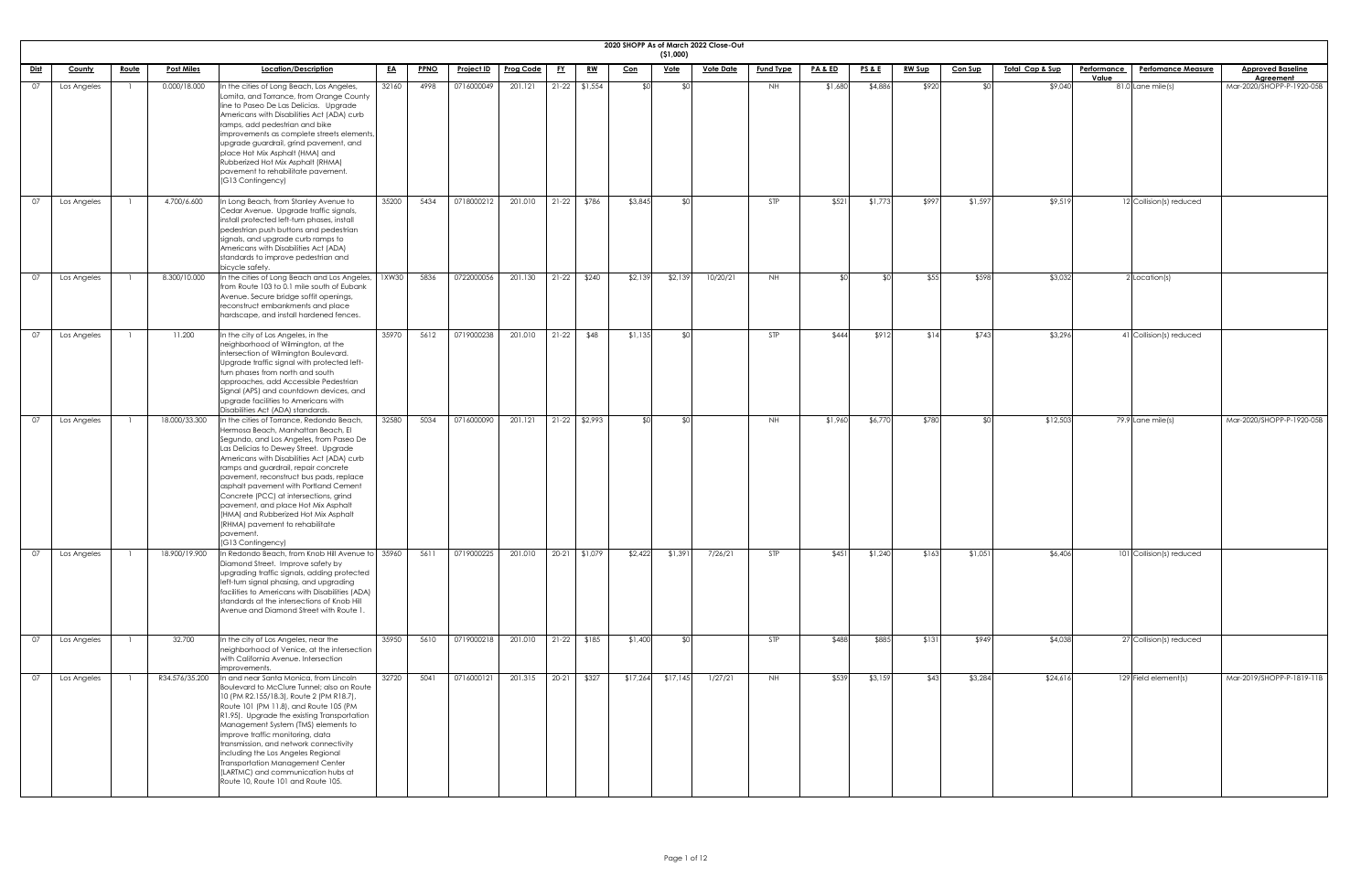|             |             |              |                   |                                                                                                                                                                                                                                                                                                                                                                                                                                                                                                                                             |           |             |                   |                  |           |                 |            | ( \$1,000)  | 2020 SHOPP As of March 2022 Close-Out |                  |                    |                 |               |                |                            |                             |                           |                                              |
|-------------|-------------|--------------|-------------------|---------------------------------------------------------------------------------------------------------------------------------------------------------------------------------------------------------------------------------------------------------------------------------------------------------------------------------------------------------------------------------------------------------------------------------------------------------------------------------------------------------------------------------------------|-----------|-------------|-------------------|------------------|-----------|-----------------|------------|-------------|---------------------------------------|------------------|--------------------|-----------------|---------------|----------------|----------------------------|-----------------------------|---------------------------|----------------------------------------------|
| <u>Dist</u> | County      | <u>Route</u> | <b>Post Miles</b> | Location/Description                                                                                                                                                                                                                                                                                                                                                                                                                                                                                                                        | <u>EA</u> | <b>PPNO</b> | <b>Project ID</b> | <b>Prog Code</b> | <u>FY</u> | <u>RW</u>       | <u>Con</u> | <u>Vote</u> | <u>Vote Date</u>                      | <b>Fund Type</b> | <u>PA &amp; ED</u> | <u>PS&amp;E</u> | <b>RW Sup</b> | <b>Con Sup</b> | <u>Total Cap &amp; Sup</u> | <b>Performance</b><br>Value | <b>Perfomance Measure</b> | <b>Approved Baseline</b><br><b>Agreement</b> |
| 07          | Los Angeles |              | 0.000/18.000      | In the cities of Long Beach, Los Angeles,<br>Lomita, and Torrance, from Orange County<br>line to Paseo De Las Delicias. Upgrade<br>Americans with Disabilities Act (ADA) curb<br>ramps, add pedestrian and bike<br>improvements as complete streets elements<br>upgrade guardrail, grind pavement, and<br>place Hot Mix Asphalt (HMA) and<br>Rubberized Hot Mix Asphalt (RHMA)<br>pavement to rehabilitate pavement.<br>(G13 Contingency)                                                                                                   | 32160     | 4998        | 0716000049        | 201.121          |           | $21-22$ \$1,554 | ו∩¢        | \$0         |                                       | <b>NH</b>        | \$1,680            | \$4,886         | \$920         |                | \$9,040                    |                             | 81.0 Lane mile(s)         | Mar-2020/SHOPP-P-1920-05B                    |
| 07          | Los Angeles |              | 4.700/6.600       | In Long Beach, from Stanley Avenue to<br>Cedar Avenue. Upgrade traffic signals,<br>install protected left-turn phases, install<br>pedestrian push buttons and pedestrian<br>signals, and upgrade curb ramps to<br>Americans with Disabilities Act (ADA)<br>standards to improve pedestrian and<br>bicycle safety.                                                                                                                                                                                                                           | 35200     | 5434        | 0718000212        | 201.010          | $21-22$   | \$786           | \$3,845    | ¶∩\$        |                                       | STP              | \$521              | \$1,773         | \$997         | \$1,597        | \$9,519                    |                             | 12 Collision(s) reduced   |                                              |
| 07          | Los Angeles |              | 8.300/10.000      | In the cities of Long Beach and Los Angeles,<br>from Route 103 to 0.1 mile south of Eubank<br>Avenue. Secure bridge soffit openings,<br>reconstruct embankments and place<br>hardscape, and install hardened fences.                                                                                                                                                                                                                                                                                                                        | 1XW30     | 5836        | 0722000056        | 201.130          | $21-22$   | \$240           | \$2,139    | \$2,139     | 10/20/21                              | <b>NH</b>        |                    | ്ടവ             | \$55          | \$598          | \$3,032                    |                             | $2$ Location(s)           |                                              |
| 07          | Los Angeles |              | 11.200            | In the city of Los Angeles, in the<br>neighborhood of Wilmington, at the<br>intersection of Wilmington Boulevard.<br>Upgrade traffic signal with protected left-<br>turn phases from north and south<br>approaches, add Accessible Pedestrian<br>Signal (APS) and countdown devices, and<br>upgrade facilities to Americans with<br>Disabilities Act (ADA) standards.                                                                                                                                                                       | 35970     | 5612        | 0719000238        | 201.010          | $21-22$   | \$48            | \$1,135    | ¶∩\$        |                                       | STP              | \$444              | \$912           | \$14          | \$743          | \$3,296                    |                             | 41 Collision(s) reduced   |                                              |
| 07          | Los Angeles |              | 18.000/33.300     | In the cities of Torrance, Redondo Beach,<br>Hermosa Beach, Manhattan Beach, El<br>Segundo, and Los Angeles, from Paseo De<br>Las Delicias to Dewey Street. Upgrade<br>Americans with Disabilities Act (ADA) curb<br>ramps and guardrail, repair concrete<br>pavement, reconstruct bus pads, replace<br>asphalt pavement with Portland Cement<br>Concrete (PCC) at intersections, grind<br>pavement, and place Hot Mix Asphalt<br>(HMA) and Rubberized Hot Mix Asphalt<br>(RHMA) pavement to rehabilitate<br>pavement.<br>(G13 Contingency) | 32580     | 5034        | 0716000090        | 201.121          |           | 21-22 \$2,993   | ו∩≯        | \$0         |                                       | NH               | \$1,960            | \$6,770         | \$780         |                | \$12,503                   |                             | 79.9 Lane mile(s)         | Mar-2020/SHOPP-P-1920-05B                    |
| 07          | Los Angeles |              | 18.900/19.900     | In Redondo Beach, from Knob Hill Avenue to 35960<br>Diamond Street. Improve safety by<br>upgrading traffic signals, adding protected<br>left-turn signal phasing, and upgrading<br>facilities to Americans with Disabilities (ADA)<br>standards at the intersections of Knob Hill<br>Avenue and Diamond Street with Route 1                                                                                                                                                                                                                 |           | 5611        | 0719000225        | 201.010          |           | 20-21 \$1,079   | \$2,422    | \$1,391     | 7/26/21                               | STP              | \$451              | \$1,240         | \$163         | \$1,051        | \$6,406                    |                             | 101 Collision(s) reduced  |                                              |
| 07          | Los Angeles |              | 32.700            | In the city of Los Angeles, near the<br>neighborhood of Venice, at the intersection<br>with California Avenue. Intersection<br>improvements.                                                                                                                                                                                                                                                                                                                                                                                                | 35950     | 5610        | 0719000218        | 201.010          | $21-22$   | \$185           | \$1,400    | -SOI        |                                       | STP              | \$488              | \$885           | \$131         | \$949          | \$4,038                    |                             | 27 Collision(s) reduced   |                                              |
| 07          | Los Angeles |              | R34.576/35.200    | In and near Santa Monica, from Lincoln<br>Boulevard to McClure Tunnel; also on Route<br>10 (PM R2.155/18.3), Route 2 (PM R18.7),<br>Route 101 (PM 11.8), and Route 105 (PM<br>R1.95). Upgrade the existing Transportation<br>Management System (TMS) elements to<br>improve traffic monitoring, data<br>transmission, and network connectivity<br>including the Los Angeles Regional<br>Transportation Management Center<br>(LARTMC) and communication hubs at<br>Route 10, Route 101 and Route 105.                                        | 32720     | 5041        | 0716000121        | 201.315          | $20-21$   | \$327           | \$17,264   | \$17,145    | 1/27/21                               | NH.              | \$539              | \$3,159         | \$43          | \$3,284        | \$24,616                   |                             | 129 Field element(s)      | Mar-2019/SHOPP-P-1819-11B                    |

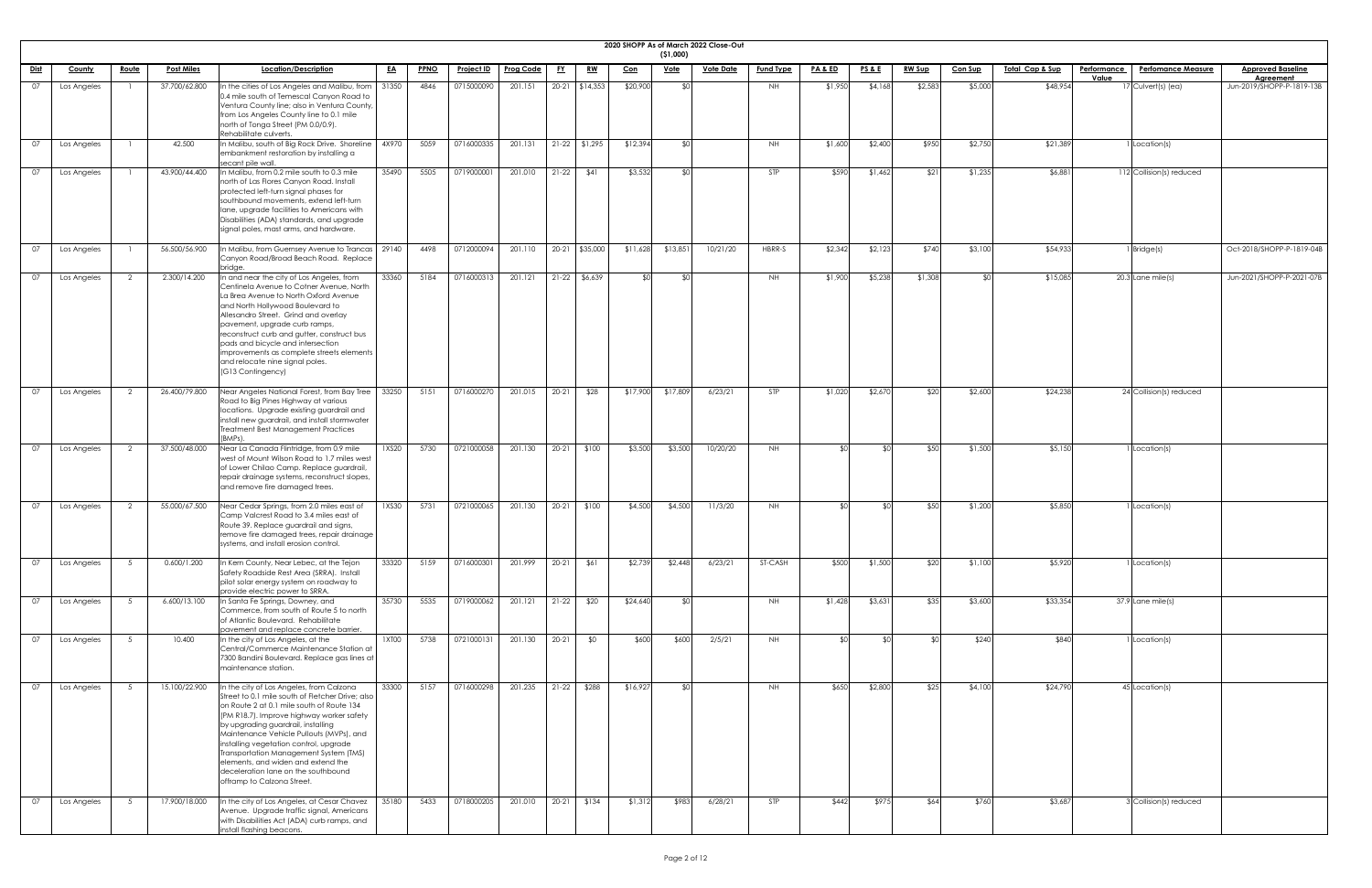|               | 2020 SHOPP As of March 2022 Close-Out<br>(51,000) |                |                   |                                                                                                                                                                                                                                                                                                                                                                                                                                                                         |           |             |                   |                  |           |                         |            |                 |                  |                  |                    |                 |               |                |                 |             |                           |                                        |
|---------------|---------------------------------------------------|----------------|-------------------|-------------------------------------------------------------------------------------------------------------------------------------------------------------------------------------------------------------------------------------------------------------------------------------------------------------------------------------------------------------------------------------------------------------------------------------------------------------------------|-----------|-------------|-------------------|------------------|-----------|-------------------------|------------|-----------------|------------------|------------------|--------------------|-----------------|---------------|----------------|-----------------|-------------|---------------------------|----------------------------------------|
| <u>Dist</u>   | <b>County</b>                                     | <u>Route</u>   | <b>Post Miles</b> | Location/Description                                                                                                                                                                                                                                                                                                                                                                                                                                                    | <u>EA</u> | <b>PPNO</b> | <u>Project ID</u> | <b>Prog Code</b> | <u>FY</u> | <u>RW</u>               | <u>Con</u> | <u>Vote</u>     | <b>Vote Date</b> | <b>Fund Type</b> | <b>PA &amp; ED</b> | <b>PS&amp;E</b> | <b>RW Sup</b> | <b>Con Sup</b> | Total Cap & Sup | Performance | <b>Perfomance Measure</b> | <b>Approved Baseline</b>               |
| 07            | Los Angeles                                       |                | 37.700/62.800     | In the cities of Los Angeles and Malibu, from                                                                                                                                                                                                                                                                                                                                                                                                                           | 31350     | 4846        | 0715000090        | 201.151          |           | 20-21 \$14,353          | \$20,900   | <b>\$0</b>      |                  | NH               | \$1,950            | \$4,168         | \$2,583       | \$5,000        | \$48,954        | Value       | 17 Culvert(s) (ea)        | Agreement<br>Jun-2019/SHOPP-P-1819-13B |
|               |                                                   |                |                   | 0.4 mile south of Temescal Canyon Road to<br>Ventura County line; also in Ventura County,<br>from Los Angeles County line to 0.1 mile<br>north of Tonga Street (PM 0.0/0.9).<br>Rehabilitate culverts.                                                                                                                                                                                                                                                                  |           |             |                   |                  |           |                         |            |                 |                  |                  |                    |                 |               |                |                 |             |                           |                                        |
| 07            | Los Angeles                                       |                | 42.500            | In Malibu, south of Big Rock Drive. Shoreline<br>embankment restoration by installing a<br>secant pile wall.                                                                                                                                                                                                                                                                                                                                                            | 4X970     | 5059        | 0716000335        | 201.131          |           | $21-22$ \$1,295         | \$12,394   | \$0             |                  | NH.              | \$1,600            | \$2,400         | \$950         | \$2,750        | \$21,389        |             | 1 Location(s)             |                                        |
| 07            | Los Angeles                                       |                | 43.900/44.400     | In Malibu, from 0.2 mile south to 0.3 mile<br>north of Las Flores Canyon Road. Install<br>protected left-turn signal phases for<br>southbound movements, extend left-turn<br>lane, upgrade facilities to Americans with<br>Disabilities (ADA) standards, and upgrade<br>signal poles, mast arms, and hardware.                                                                                                                                                          | 35490     | 5505        | 0719000001        | 201.010          | $21-22$   | \$41                    | \$3,532    | ⊀∩ା             |                  | STP              | \$590              | \$1,462         | \$21          | \$1,235        | \$6,881         |             | 112 Collision(s) reduced  |                                        |
| 07            | Los Angeles                                       |                | 56.500/56.900     | In Malibu, from Guernsey Avenue to Trancas   29140<br>Canyon Road/Broad Beach Road. Replace<br>bridae                                                                                                                                                                                                                                                                                                                                                                   |           | 4498        | 0712000094        | 201.110          |           | 20-21 \$35,000          | \$11,628   | \$13,851        | 10/21/20         | HBRR-S           | \$2,342            | \$2,123         | \$740         | \$3,100        | \$54,933        |             | $1$ Bridge $(s)$          | Oct-2018/SHOPP-P-1819-04B              |
| 07            | Los Angeles                                       | 2              | 2.300/14.200      | In and near the city of Los Angeles, from<br>Centinela Avenue to Cotner Avenue, North<br>La Brea Avenue to North Oxford Avenue<br>and North Hollywood Boulevard to<br>Allesandro Street. Grind and overlay<br>pavement, upgrade curb ramps,<br>reconstruct curb and gutter, construct bus<br>pads and bicycle and intersection<br>improvements as complete streets elements<br>and relocate nine signal poles.<br>(G13 Contingency)                                     | 33360     | 5184        | 0716000313        | 201.121          |           | $21-22$ \$6,639         | ¢∩l        | SO              |                  | <b>NH</b>        | \$1,900            | \$5,238         | \$1,308       |                | \$15,085        |             | $20.3$ Lane mile(s)       | Jun-2021/SHOPP-P-2021-07B              |
| 07            | Los Angeles                                       |                | 26.400/79.800     | Near Angeles National Forest, from Bay Tree<br>Road to Big Pines Highway at various<br>locations. Upgrade existing guardrail and<br>install new guardrail, and install stormwater<br>Treatment Best Management Practices<br>(BMPs).                                                                                                                                                                                                                                     | 33250     | 5151        | 0716000270        | 201.015          | $20-21$   | \$28                    | \$17,900   | \$17,809        | 6/23/21          | <b>STP</b>       | \$1,020            | \$2,670         | \$20          | \$2,600        | \$24,238        |             | 24 Collision(s) reduced   |                                        |
| <sup>07</sup> | Los Angeles                                       | 2              | 37.500/48.000     | Near La Canada Flintridge, from 0.9 mile<br>west of Mount Wilson Road to 1.7 miles west<br>of Lower Chilao Camp. Replace guardrail,<br>repair drainage systems, reconstruct slopes,<br>and remove fire damaged trees.                                                                                                                                                                                                                                                   | 1XS20     | 5730        | 0721000058        | 201.130          | $20-21$   | \$100                   | \$3,500    | \$3,500         | 10/20/20         | NH               |                    | . የበ            | \$50          | \$1,500        | \$5,150         |             | Location(s)               |                                        |
| 07            | Los Angeles                                       | 2              | 55.000/67.500     | Near Cedar Springs, from 2.0 miles east of<br>Camp Valcrest Road to 3.4 miles east of<br>Route 39. Replace guardrail and signs,<br>remove fire damaged trees, repair drainage<br>systems, and install erosion control.                                                                                                                                                                                                                                                  | 1XS30     | 5731        | 0721000065        | 201.130          | $20-21$   | \$100                   | \$4,500    | \$4,500         | 11/3/20          | NH               |                    | <b>SO</b>       | \$50          | \$1,200        | \$5,850         |             | 1 Location(s)             |                                        |
| 07            | Los Angeles                                       | 5              | 0.600/1.200       | In Kern County, Near Lebec, at the Tejon<br>Safety Roadside Rest Area (SRRA). Install<br>pilot solar energy system on roadway to<br>provide electric power to SRRA.                                                                                                                                                                                                                                                                                                     | 33320     | 5159        | 0716000301        | 201.999          |           | $20-21$ \$61            | \$2,739    | \$2,448         | 6/23/21          | ST-CASH          | \$500              | \$1,500         | \$20          | \$1,100        | \$5,920         |             | 1 Location(s)             |                                        |
| 07            | Los Angeles                                       | 5 <sup>5</sup> | 6.600/13.100      | In Santa Fe Springs, Downey, and<br>Commerce, from south of Route 5 to north<br>of Atlantic Boulevard. Rehabilitate<br>pavement and replace concrete barrier.                                                                                                                                                                                                                                                                                                           | 35730     | 5535        | 0719000062        | 201.121          | $21-22$   | \$20                    | \$24,640   | SO <sub>1</sub> |                  | NH               | \$1,428            | \$3,631         | \$35          | \$3,600        | \$33,354        |             | 37.9 Lane mile(s)         |                                        |
| 07            | Los Angeles                                       | 5              | 10.400            | In the city of Los Angeles, at the<br>Central/Commerce Maintenance Station at<br>7300 Bandini Boulevard. Replace gas lines at<br>maintenance station.                                                                                                                                                                                                                                                                                                                   | 1XT00     | 5738        | 0721000131        | 201.130          | $20-21$   | \$0                     | \$600      | \$600           | 2/5/21           | NH               |                    | ୍≮∩ା            |               | \$240          | \$840           |             | 1 Location(s)             |                                        |
| 07            | Los Angeles                                       | - 5            | 15.100/22.900     | In the city of Los Angeles, from Calzona<br>Street to 0.1 mile south of Fletcher Drive; also<br>on Route 2 at 0.1 mile south of Route 134<br>(PM R18.7). Improve highway worker safety<br>by upgrading guardrail, installing<br>Maintenance Vehicle Pullouts (MVPs), and<br>installing vegetation control, upgrade<br>Transportation Management System (TMS)<br>elements, and widen and extend the<br>deceleration lane on the southbound<br>offramp to Calzona Street. | 33300     | 5157        | 0716000298        |                  |           | 201.235   21-22   \$288 | \$16,927   | \$0             |                  | <b>NH</b>        | \$650              | \$2,800         | \$25          | \$4,100        | \$24,790        |             | 45 Location(s)            |                                        |
| 07            | Los Angeles                                       | - 5            | 17.900/18.000     | In the city of Los Angeles, at Cesar Chavez<br>Avenue. Upgrade traffic signal, Americans<br>with Disabilities Act (ADA) curb ramps, and<br>install flashing beacons.                                                                                                                                                                                                                                                                                                    | 35180     | 5433        | 0718000205        | 201.010          |           | $20-21$ \$134           | \$1,312    | \$983           | 6/28/21          | STP              | \$442              | \$975           | \$64          | \$760          | \$3,687         |             | 3 Collision(s) reduced    |                                        |

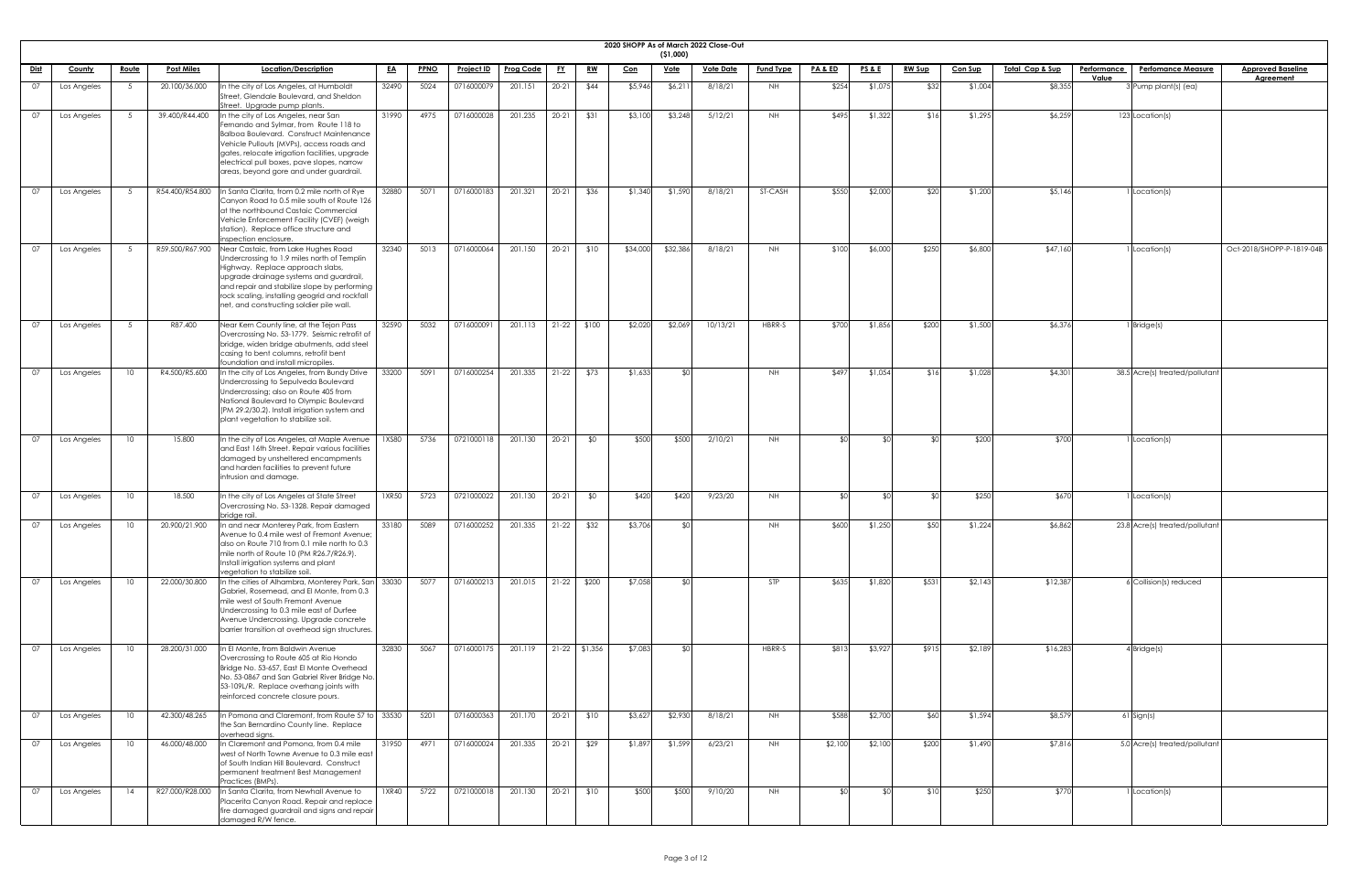|             | 2020 SHOPP As of March 2022 Close-Out<br>(51,000) |                 |                   |                                                                                                                                                                                                                                                                                                                                |           |             |                   |                       |              |               |                            |             |                  |                  |                    |                 |               |                |                            |                                                 |                           |
|-------------|---------------------------------------------------|-----------------|-------------------|--------------------------------------------------------------------------------------------------------------------------------------------------------------------------------------------------------------------------------------------------------------------------------------------------------------------------------|-----------|-------------|-------------------|-----------------------|--------------|---------------|----------------------------|-------------|------------------|------------------|--------------------|-----------------|---------------|----------------|----------------------------|-------------------------------------------------|---------------------------|
| <u>Dist</u> | <b>County</b>                                     | <u>Route</u>    | <b>Post Miles</b> | Location/Description                                                                                                                                                                                                                                                                                                           | <u>EA</u> | <b>PPNO</b> | <b>Project ID</b> | <b>Prog Code</b>      | <u>FY</u>    | <u>RW</u>     | $\underline{\mathrm{Con}}$ | <u>Vote</u> | <b>Vote Date</b> | <b>Fund Type</b> | <u>PA &amp; ED</u> | <u>PS&amp;E</u> | <u>RW Sup</u> | <b>Con Sup</b> | <u>Total Cap &amp; Sup</u> | <b>Perfomance Measure</b><br><b>Performance</b> | <b>Approved Baseline</b>  |
|             |                                                   |                 |                   |                                                                                                                                                                                                                                                                                                                                |           |             |                   |                       |              |               |                            |             |                  |                  |                    |                 |               |                |                            | Value                                           | <b>Agreement</b>          |
| 07          | Los Angeles                                       |                 | 20.100/36.000     | In the city of Los Angeles, at Humboldt<br>Street, Glendale Boulevard, and Sheldon<br>Street. Upgrade pump plants.                                                                                                                                                                                                             | 32490     | 5024        | 0716000079        | 201.151               | $20 - 21$    | \$44          | \$5,946                    | \$6,21]     | 8/18/21          | NH.              | \$254              | \$1,075         | \$32          | \$1,004        | \$8,355                    | 3 Pump plant(s) (ea)                            |                           |
| 07          | Los Angeles                                       | 5               | 39.400/R44.400    | In the city of Los Angeles, near San<br>Fernando and Sylmar, from Route 118 to<br>Balboa Boulevard. Construct Maintenance<br>Vehicle Pullouts (MVPs), access roads and<br>gates, relocate irrigation facilities, upgrade<br>electrical pull boxes, pave slopes, narrow<br>areas, beyond gore and under guardrail.              | 31990     | 4975        | 0716000028        | 201.235               | $20-21$      | \$31          | \$3,100                    | \$3,248     | 5/12/21          | <b>NH</b>        | \$495              | \$1,322         | \$16          | \$1,295        | \$6,259                    | 123 Location(s)                                 |                           |
| 07          | Los Angeles                                       |                 | R54.400/R54.800   | In Santa Clarita, from 0.2 mile north of Rye<br>Canyon Road to 0.5 mile south of Route 126<br>at the northbound Castaic Commercial<br>Vehicle Enforcement Facility (CVEF) (weigh<br>station). Replace office structure and<br>inspection enclosure.                                                                            | 32880     | 5071        | 0716000183        | 201.321               | $20-21$      | \$36          | \$1,340                    | \$1,590     | 8/18/21          | ST-CASH          | \$550              | \$2,000         | \$20          | \$1,200        | \$5,146                    | 1 Location(s)                                   |                           |
| 07          | Los Angeles                                       | 5 <sup>5</sup>  |                   | R59.500/R67.900 Near Castaic, from Lake Hughes Road<br>Undercrossing to 1.9 miles north of Templin<br>Highway. Replace approach slabs,<br>upgrade drainage systems and guardrail,<br>and repair and stabilize slope by performing<br>rock scaling, installing geogrid and rockfall<br>net, and constructing soldier pile wall. | 32340     | 5013        | 0716000064        | 201.150               | $20-21$ \$10 |               | \$34,000                   | \$32,386    | 8/18/21          | <b>NH</b>        | \$100              | \$6,000         | \$250         | \$6,800        | \$47,160                   | Location(s)                                     | Oct-2018/SHOPP-P-1819-04B |
| 07          | Los Angeles                                       | -5              | R87.400           | Near Kern County line, at the Tejon Pass<br>Overcrossing No. 53-1779. Seismic retrofit of<br>bridge, widen bridge abutments, add steel<br>casing to bent columns, retrofit bent<br>foundation and install micropiles.                                                                                                          | 32590     | 5032        | 071600009         | 201.113               |              | $21-22$ \$100 | \$2,020                    | \$2,069     | 10/13/21         | HBRR-S           | \$700              | \$1,856         | \$200         | \$1,500        | \$6,376                    | I Bridge(s)                                     |                           |
| 07          | Los Angeles                                       | 10              | R4.500/R5.600     | In the city of Los Angeles, from Bundy Drive<br>Undercrossing to Sepulveda Boulevard<br>Undercrossing; also on Route 405 from<br>National Boulevard to Olympic Boulevard<br>(PM 29.2/30.2). Install irrigation system and<br>plant vegetation to stabilize soil.                                                               | 33200     | 5091        | 0716000254        | 201.335               |              | $21-22$ \$73  | \$1,633                    |             |                  | NH               | \$497              | \$1,054         | \$16          | \$1,028        | \$4,301                    | 38.5 Acre(s) treated/pollutant                  |                           |
| 07          | Los Angeles                                       | 10              | 15.800            | In the city of Los Angeles, at Maple Avenue<br>and East 16th Street. Repair various facilities<br>damaged by unsheltered encampments<br>and harden facilities to prevent future<br>intrusion and damage.                                                                                                                       | 1XS80     | 5736        | 0721000118        | 201.130               | $20 - 21$    | \$0           | \$500                      | \$500       | 2/10/21          | NH               |                    |                 |               | \$200          | \$700                      | Location(s)                                     |                           |
| 07          | Los Angeles                                       | 10              | 18.500            | In the city of Los Angeles at State Street<br>Overcrossing No. 53-1328. Repair damaged<br>bridge rail.                                                                                                                                                                                                                         | 1XR50     | 5723        | 0721000022        | 201.130               | $20-21$      | \$0           | \$420                      | \$420       | 9/23/20          | <b>NH</b>        |                    |                 |               | \$250          | \$670                      | Location(s)                                     |                           |
|             | Los Angeles                                       | 10              | 20.900/21.900     | In and near Monterey Park, from Eastern<br>Avenue to 0.4 mile west of Fremont Avenue;<br>also on Route 710 from 0.1 mile north to 0.3<br>mile north of Route 10 (PM R26.7/R26.9).<br>Install irrigation systems and plant<br>vegetation to stabilize soil.                                                                     | 33180     | 5089        | 0716000252        | 201.335               | $21-22$      | \$32          | \$3,706                    |             |                  | NH.              | \$600              | \$1,250         | \$50          | \$1,224        | \$6,862                    | 23.8 Acre(s) treated/pollutan                   |                           |
| 07          | Los Angeles                                       | 10              | 22.000/30.800     | In the cities of Alhambra, Monterey Park, San 33030<br>Gabriel, Rosemead, and El Monte, from 0.3<br>mile west of South Fremont Avenue<br>Undercrossing to 0.3 mile east of Durfee<br>Avenue Undercrossing. Upgrade concrete<br>barrier transition at overhead sign structures.                                                 |           | 5077        | 0716000213        | 201.015               |              | $21-22$ \$200 | \$7,058                    |             |                  | <b>STP</b>       | \$635              | \$1,820         | \$531         | \$2,143        | \$12,387                   | 6 Collision(s) reduced                          |                           |
| 07          | Los Angeles                                       | 10              | 28.200/31.000     | In El Monte, from Baldwin Avenue<br>Overcrossing to Route 605 at Rio Hondo<br>Bridge No. 53-657, East El Monte Overhead<br>No. 53-0867 and San Gabriel River Bridge No.<br>53-109L/R. Replace overhang joints with<br>reinforced concrete closure pours.                                                                       | 32830     | 5067        | 0716000175        | 201.119 21-22 \$1,356 |              |               | \$7,083                    |             |                  | HBRR-S           | \$813              | \$3,927         | \$915         | \$2,189        | \$16,283                   | $4$ Bridge $(s)$                                |                           |
| 07          | Los Angeles                                       | 10              | 42.300/48.265     | In Pomona and Claremont, from Route 57 to 33530<br>the San Bernardino County line. Replace<br>overhead signs.                                                                                                                                                                                                                  |           | 5201        | 0716000363        | 201.170 20-21 \$10    |              |               | \$3,627                    | \$2,930     | 8/18/21          | <b>NH</b>        | \$588              | \$2,700         | \$60          | \$1,594        | \$8,579                    | 61 Sign(s)                                      |                           |
| 07          | Los Angeles                                       | 10              | 46.000/48.000     | In Claremont and Pomona, from 0.4 mile<br>west of North Towne Avenue to 0.3 mile east<br>of South Indian Hill Boulevard. Construct<br>permanent treatment Best Management<br>Practices (BMPs).                                                                                                                                 | 31950     | 4971        | 0716000024        | 201.335               | $20-21$      | \$29          | \$1,897                    | \$1,599     | 6/23/21          | <b>NH</b>        | \$2,100            | \$2,100         | \$200         | \$1,490        | \$7,816                    | 5.0 Acre(s) treated/pollutant                   |                           |
| 07          | Los Angeles                                       | $\overline{14}$ | R27.000/R28.000   | In Santa Clarita, from Newhall Avenue to<br>Placerita Canyon Road. Repair and replace<br>fire damaged guardrail and signs and repair<br>damaged R/W fence.                                                                                                                                                                     | 1 X R 40  | 5722        | 0721000018        | 201.130               | $20-21$      | \$10          | \$500                      | \$500       | 9/10/20          | NH .             |                    |                 | \$10          | \$250          | \$770                      | I Location(s)                                   |                           |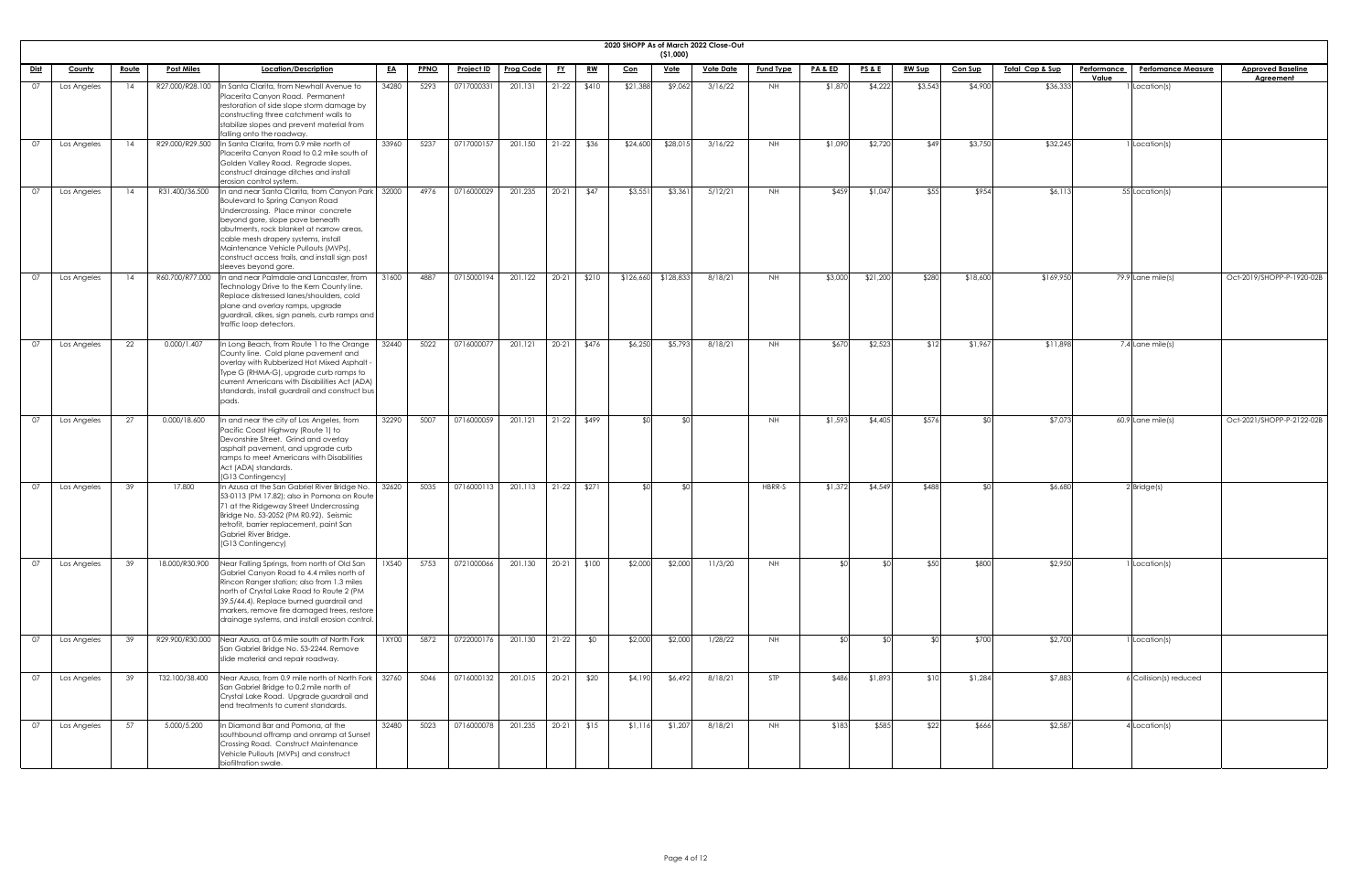| <b>2020 SHOPP</b> |  |
|-------------------|--|

|             | 2020 SHOPP As of March 2022 Close-Out<br>( \$1,000) |                 |                   |                                                                                                                                                                                                                                                                                                                                                                       |           |             |                   |                  |           |               |            |             |                  |                  |                  |                 |               |                |                 |                      |                           |                                              |
|-------------|-----------------------------------------------------|-----------------|-------------------|-----------------------------------------------------------------------------------------------------------------------------------------------------------------------------------------------------------------------------------------------------------------------------------------------------------------------------------------------------------------------|-----------|-------------|-------------------|------------------|-----------|---------------|------------|-------------|------------------|------------------|------------------|-----------------|---------------|----------------|-----------------|----------------------|---------------------------|----------------------------------------------|
| <u>Dist</u> | County                                              | <u>Route</u>    | <b>Post Miles</b> | Location/Description                                                                                                                                                                                                                                                                                                                                                  | <u>EA</u> | <b>PPNO</b> | <b>Project ID</b> | <b>Prog Code</b> | <u>FY</u> | <u>RW</u>     | <u>Con</u> | <u>Vote</u> | <b>Vote Date</b> | <b>Fund Type</b> | <b>PA&amp;ED</b> | <u>PS&amp;E</u> | <u>RW Sup</u> | Con Sup        | Total Cap & Sup | Performance<br>Value | <b>Perfomance Measure</b> | <b>Approved Baseline</b><br><b>Agreement</b> |
| 07          | Los Angeles                                         | 14              | R27.000/R28.100   | In Santa Clarita, from Newhall Avenue to<br>Placerita Canyon Road. Permanent<br>restoration of side slope storm damage by<br>constructing three catchment walls to<br>stabilize slopes and prevent material from<br>falling onto the roadway.                                                                                                                         | 34280     | 5293        | 0717000331        | 201.131          | $21-22$   | \$410         | \$21,388   | \$9,062     | 3/16/22          | NH.              | \$1,870          | \$4,222         | \$3,543       | \$4,900        | \$36,333        |                      | 1 Location(s)             |                                              |
| 07          | Los Angeles                                         | 14              | R29.000/R29.500   | In Santa Clarita, from 0.9 mile north of<br>Placerita Canyon Road to 0.2 mile south of<br>Golden Valley Road. Regrade slopes,<br>construct drainage ditches and install<br>erosion control system.                                                                                                                                                                    | 33960     | 5237        | 0717000157        | 201.150          | $21-22$   | \$36          | \$24,600   | \$28,015    | 3/16/22          | NH.              | \$1,090          | \$2,720         | \$49          | \$3,750        | \$32,245        |                      | 1 Location(s)             |                                              |
| 07          | Los Angeles                                         | $\overline{14}$ | R31.400/36.500    | In and near Santa Clarita, from Canyon Park   32000<br>Boulevard to Spring Canyon Road<br>Undercrossing. Place minor concrete<br>beyond gore, slope pave beneath<br>abutments, rock blanket at narrow areas,<br>cable mesh drapery systems, install<br>Maintenance Vehicle Pullouts (MVPs),<br>construct access trails, and install sign post<br>sleeves beyond gore. |           | 4976        | 0716000029        | 201.235          | $20 - 21$ | \$47          | \$3,55     | \$3,361     | 5/12/21          | NH.              | \$459            | \$1,047         | \$55          | \$954          | \$6,113         |                      | 55 Location(s)            |                                              |
| 07          | Los Angeles                                         | 14              | R60.700/R77.000   | In and near Palmdale and Lancaster, from<br>Technology Drive to the Kern County line.<br>Replace distressed lanes/shoulders, cold<br>plane and overlay ramps, upgrade<br>guardrail, dikes, sign panels, curb ramps and<br>traffic loop detectors.                                                                                                                     | 31600     | 4887        | 0715000194        | 201.122          | $20 - 21$ | \$210         | \$126,660  | \$128,833   | 8/18/21          | NH.              | \$3,000          | \$21,200        | \$280         | \$18,600       | \$169,950       |                      | 79.9 Lane mile(s)         | Oct-2019/SHOPP-P-1920-02B                    |
| 07          | Los Angeles                                         | 22              | 0.000/1.407       | In Long Beach, from Route 1 to the Orange<br>County line. Cold plane pavement and<br>overlay with Rubberized Hot Mixed Asphalt -<br>Type G (RHMA-G), upgrade curb ramps to<br>current Americans with Disabilities Act (ADA)<br>standards, install guardrail and construct bus<br>pads.                                                                                | 32440     | 5022        | 0716000077        | 201.121          | $20 - 21$ | \$476         | \$6,250    | \$5,793     | 8/18/21          | NH.              | \$670            | \$2,523         | \$12          | \$1,967        | \$11,898        |                      | 7.4 Lane mile(s)          |                                              |
| 07          | Los Angeles                                         | 27              | 0.000/18.600      | In and near the city of Los Angeles, from<br>Pacific Coast Highway (Route 1) to<br>Devonshire Street. Grind and overlay<br>asphalt pavement, and upgrade curb<br>ramps to meet Americans with Disabilities<br>Act (ADA) standards.<br>(G13 Contingency)                                                                                                               | 32290     | 5007        | 0716000059        | 201.121          |           | $21-22$ \$499 | ≮∩I        | \$0         |                  | NH               | \$1,593          | \$4,405         | \$576         | $\mathfrak{C}$ | \$7,073         |                      | $60.9$ Lane mile(s)       | Oct-2021/SHOPP-P-2122-02B                    |
| 07          | Los Angeles                                         | 39              | 17.800            | In Azusa at the San Gabriel River Bridge No.<br>53-0113 (PM 17.82); also in Pomona on Route<br>71 at the Ridgeway Street Undercrossing<br>Bridge No. 53-2052 (PM R0.92). Seismic<br>retrofit, barrier replacement, paint San<br>Gabriel River Bridge.<br>(G13 Contingency)                                                                                            | 32620     | 5035        | 0716000113        | 201.113          | $21-22$   | \$271         | ደ በ        | SO          |                  | HBRR-S           | \$1,372          | \$4,549         | \$488         | ¢Λ             | \$6,680         |                      | $2$ Bridge(s)             |                                              |
| 07          | Los Angeles                                         | 39              | 18.000/R30.900    | Near Falling Springs, from north of Old San<br>Gabriel Canyon Road to 4.4 miles north of<br>Rincon Ranger station; also from 1.3 miles<br>north of Crystal Lake Road to Route 2 (PM<br>39.5/44.4). Replace burned guardrail and<br>markers, remove fire damaged trees, restore<br>drainage systems, and install erosion control.                                      | 1XS40     | 5753        | 0721000066        | 201.130          | $20-21$   | \$100         | \$2,000    | \$2,000     | 11/3/20          | <b>NH</b>        |                  | ላ ተ             | \$50          | \$800          | \$2,950         |                      | 1 Location(s)             |                                              |
| 07          | Los Angeles                                         | 39              | R29.900/R30.000   | Near Azusa, at 0.6 mile south of North Fork<br>San Gabriel Bridge No. 53-2244. Remove<br>slide material and repair roadway.                                                                                                                                                                                                                                           | 1XY00     | 5872        | 0722000176        | 201.130          | $21-22$   | \$0           | \$2,000    | \$2,000     | 1/28/22          | NH               |                  | ላ የ             |               | \$700          | \$2,700         |                      | 1 Location(s)             |                                              |
| 07          | Los Angeles                                         | 39              |                   | T32.100/38.400 Near Azusa, from 0.9 mile north of North Fork 32760<br>San Gabriel Bridge to 0.2 mile north of<br>Crystal Lake Road. Upgrade guardrail and<br>end treatments to current standards.                                                                                                                                                                     |           | 5046        | 0716000132        | 201.015          | $20 - 21$ | \$20          | \$4,190    | \$6,492     | 8/18/21          | <b>STP</b>       | \$486            | \$1,893         | \$10          | \$1,284        | \$7,883         |                      | $6$ Collision(s) reduced  |                                              |
| 07          | Los Angeles                                         | 57              | 5.000/5.200       | In Diamond Bar and Pomona, at the<br>southbound offramp and onramp at Sunset<br>Crossing Road. Construct Maintenance<br>Vehicle Pullouts (MVPs) and construct<br>biofiltration swale.                                                                                                                                                                                 | 32480     | 5023        | 0716000078        | 201.235          |           | 20-21 \$15    | \$1,116    | \$1,207     | 8/18/21          | NH               | \$183            | \$585           | \$22          | \$666          | \$2,587         |                      | 4 Location(s)             |                                              |

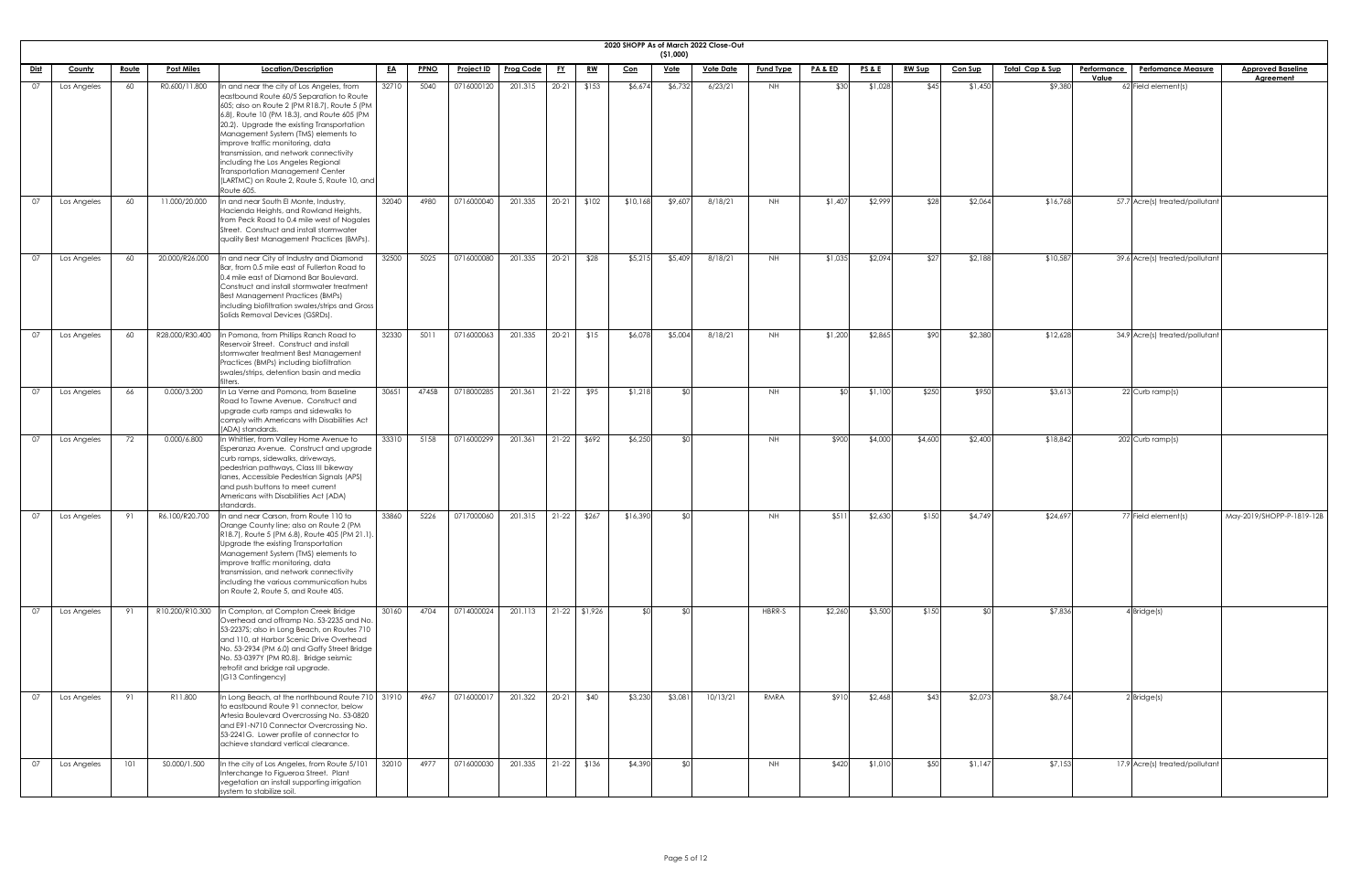|             | 2020 SHOPP As of March 2022 Close-Out<br>( \$1,000) |              |                   |                                                                                                                                                                                                                                                                                                                                                                                                                                                          |           |             |                   |                  |           |                 |            |                 |                  |                  |         |                 |               |                |                             |                    |                                |                           |
|-------------|-----------------------------------------------------|--------------|-------------------|----------------------------------------------------------------------------------------------------------------------------------------------------------------------------------------------------------------------------------------------------------------------------------------------------------------------------------------------------------------------------------------------------------------------------------------------------------|-----------|-------------|-------------------|------------------|-----------|-----------------|------------|-----------------|------------------|------------------|---------|-----------------|---------------|----------------|-----------------------------|--------------------|--------------------------------|---------------------------|
| <u>Dist</u> | County                                              | <u>Route</u> | <b>Post Miles</b> | Location/Description                                                                                                                                                                                                                                                                                                                                                                                                                                     | <u>EA</u> | <b>PPNO</b> | <u>Project ID</u> | <b>Prog Code</b> | <u>FY</u> | <u>RW</u>       | <u>Con</u> | <u>Vote</u>     | <b>Vote Date</b> | <b>Fund Type</b> | PA&ED   | <b>PS&amp;E</b> | <b>RW Sup</b> | <b>Con Sup</b> | <u> Total Cap &amp; Sup</u> | <b>Performance</b> | <b>Perfomance Measure</b>      | <b>Approved Baseline</b>  |
| 07          | Los Angeles                                         | 60           | R0.600/11.800     | In and near the city of Los Angeles, from                                                                                                                                                                                                                                                                                                                                                                                                                | 32710     | 5040        | 0716000120        | 201.315          | $20-21$   | \$153           | \$6,674    | \$6,732         | 6/23/21          | NH.              | \$30    | \$1,028         | \$45          | \$1,450        | \$9,380                     | Value              | 62 Field element(s)            | <b>Agreement</b>          |
|             |                                                     |              |                   | eastbound Route 60/5 Separation to Route<br>605; also on Route 2 (PM R18.7), Route 5 (PM<br>6.8), Route 10 (PM 18.3), and Route 605 (PM<br>20.2). Upgrade the existing Transportation<br>Management System (TMS) elements to<br>improve traffic monitoring, data<br>transmission, and network connectivity<br>including the Los Angeles Regional<br><b>Transportation Management Center</b><br>(LARTMC) on Route 2, Route 5, Route 10, and<br>Route 605. |           |             |                   |                  |           |                 |            |                 |                  |                  |         |                 |               |                |                             |                    |                                |                           |
| 07          | Los Angeles                                         | 60           | 11.000/20.000     | In and near South El Monte, Industry,<br>Hacienda Heights, and Rowland Heights,<br>from Peck Road to 0.4 mile west of Nogales<br>Street. Construct and install stormwater<br>quality Best Management Practices (BMPs).                                                                                                                                                                                                                                   | 32040     | 4980        | 0716000040        | 201.335          | $20 - 21$ | \$102           | \$10,168   | \$9,607         | 8/18/21          | NH               | \$1,407 | \$2,999         | \$28          | \$2,064        | \$16,768                    |                    | 57.7 Acre(s) treated/pollutant |                           |
| 07          | Los Angeles                                         | 60           | 20.000/R26.000    | In and near City of Industry and Diamond<br>Bar, from 0.5 mile east of Fullerton Road to<br>0.4 mile east of Diamond Bar Boulevard.<br>Construct and install stormwater treatment<br><b>Best Management Practices (BMPs)</b><br>including biofiltration swales/strips and Gross<br>Solids Removal Devices (GSRDs).                                                                                                                                       | 32500     | 5025        | 0716000080        | 201.335          | $20 - 21$ | \$28            | \$5,215    | \$5,409         | 8/18/21          | NH.              | \$1,035 | \$2,094         | \$27          | \$2,188        | \$10,587                    |                    | 39.6 Acre(s) treated/pollutant |                           |
| <u>07</u>   | Los Angeles                                         | 60           | R28.000/R30.400   | In Pomona, from Phillips Ranch Road to<br>Reservoir Street. Construct and install<br>stormwater treatment Best Management<br>Practices (BMPs) including biofiltration<br>swales/strips, detention basin and media<br>lters.                                                                                                                                                                                                                              | 32330     | 5011        | 0716000063        | 201.335          | $20-21$   | \$15            | \$6,078    | \$5,004         | 8/18/21          | NH               | \$1,200 | \$2,865         | \$90          | \$2,380        | \$12,628                    |                    | 34.9 Acre(s) treated/pollutant |                           |
| 07          | Los Angeles                                         | 66           | 0.000/3.200       | In La Verne and Pomona, from Baseline<br>Road to Towne Avenue. Construct and<br>upgrade curb ramps and sidewalks to<br>comply with Americans with Disabilities Act<br>(ADA) standards.                                                                                                                                                                                                                                                                   | 30651     | 4745B       | 0718000285        | 201.361          | $21-22$   | \$95            | \$1,218    | <b>SO</b>       |                  | NH               |         | \$1,100         | \$250         | \$950          | \$3,613                     |                    | 22 Curb ramp(s)                |                           |
| 07          | Los Angeles                                         | 72           | 0.000/6.800       | In Whittier, from Valley Home Avenue to<br>Esperanza Avenue. Construct and upgrade<br>curb ramps, sidewalks, driveways,<br>pedestrian pathways, Class III bikeway<br>Ianes, Accessible Pedestrian Signals (APS)<br>and push buttons to meet current<br>Americans with Disabilities Act (ADA)<br>standards.                                                                                                                                               | 33310     | 5158        | 0716000299        | 201.361          | $21-22$   | \$692           | \$6,250    | SO <sub>1</sub> |                  | NH               | \$900   | \$4,000         | \$4,600       | \$2,400        | \$18,842                    |                    | 202 Curb ramp(s)               |                           |
| $\Omega$    | Los Angeles                                         | 91           | R6.100/R20.700    | In and near Carson, from Route 110 to<br>Orange County line; also on Route 2 (PM<br>R18.7), Route 5 (PM 6.8), Route 405 (PM 21.1)<br>Upgrade the existing Transportation<br>Management System (TMS) elements to<br>improve traffic monitoring, data<br>transmission, and network connectivity<br>including the various communication hubs<br>on Route 2, Route 5, and Route 405.                                                                         | 33860     | 5226        | 0717000060        | 201.315          | $21-22$   | \$267           | \$16,390   | ¶∩\$            |                  | NH.              | \$511   | \$2,630         | \$150         | \$4,749        | \$24,697                    |                    | 77 Field element(s)            | May-2019/SHOPP-P-1819-12B |
| . በ7        | Los Angeles                                         | 91           | R10.200/R10.300   | In Compton, at Compton Creek Bridge<br>Overhead and offramp No. 53-2235 and No.<br>53-2237S; also in Long Beach, on Routes 710<br>and 110, at Harbor Scenic Drive Overhead<br>No. 53-2934 (PM 6.0) and Gaffy Street Bridge<br>No. 53-0397Y (PM R0.8). Bridge seismic<br>retrofit and bridge rail upgrade.<br>(G13 Contingency)                                                                                                                           | 30160     | 4704        | 0714000024        | 201.113          |           | $21-22$ \$1,926 |            | \$∩             |                  | HBRR-S           | \$2,260 | \$3,500         | \$150         | ¢Λ             | \$7,836                     |                    | $4$ Bridge $(s)$               |                           |
| 07          | Los Angeles                                         | 91           | R11.800           | In Long Beach, at the northbound Route 710 31910<br>to eastbound Route 91 connector, below<br>Artesia Boulevard Overcrossing No. 53-0820<br>and E91-N710 Connector Overcrossing No.<br>53-2241G. Lower profile of connector to<br>achieve standard vertical clearance.                                                                                                                                                                                   |           | 4967        | 0716000017        | 201.322          | $20-21$   | \$40            | \$3,230    | \$3,081         | 10/13/21         | RMRA             | \$910   | \$2,468         | \$43          | \$2,073        | \$8,764                     |                    | $2$ Bridge(s)                  |                           |
| 07          | Los Angeles                                         | 101          | S0.000/1.500      | In the city of Los Angeles, from Route 5/101<br>Interchange to Figueroa Street. Plant<br>vegetation an install supporting irrigation<br>system to stabilize soil.                                                                                                                                                                                                                                                                                        | 32010     | 4977        | 0716000030        | 201.335          |           | $21-22$ \$136   | \$4,390    | \$0             |                  | NH               | \$420   | \$1,010         | \$50          | \$1,147        | \$7,153                     |                    | 17.9 Acre(s) treated/pollutant |                           |

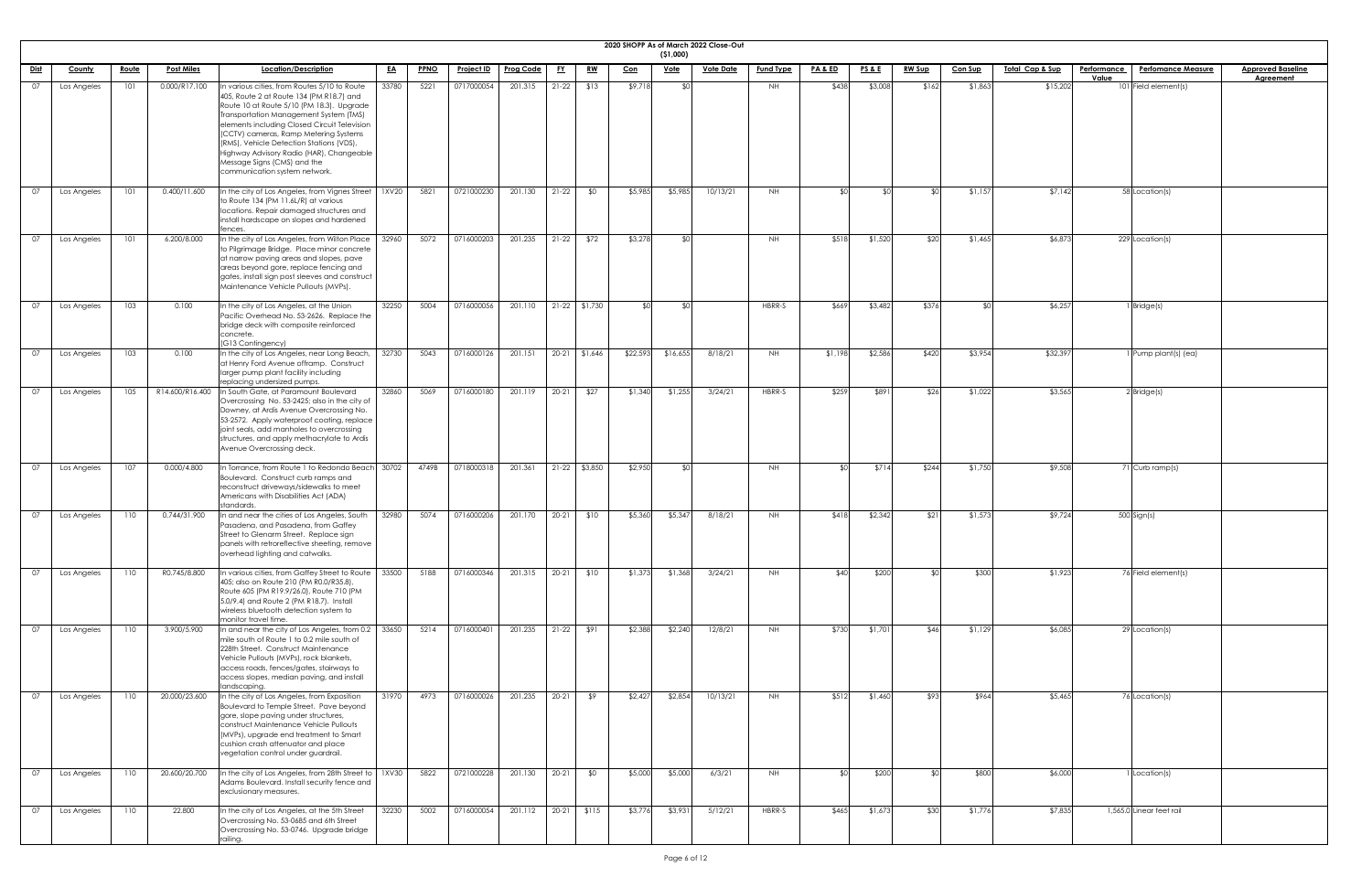|             |             |       |                   |                                                                                                                                                                                                                                                                                                                                                                                                                                  |           |             |                   |                  |           |                 |            |                         | 2020 SHOPP As of March 2022 Close-Out |                  |                    |                 |               |                |                             |                                          |                          |
|-------------|-------------|-------|-------------------|----------------------------------------------------------------------------------------------------------------------------------------------------------------------------------------------------------------------------------------------------------------------------------------------------------------------------------------------------------------------------------------------------------------------------------|-----------|-------------|-------------------|------------------|-----------|-----------------|------------|-------------------------|---------------------------------------|------------------|--------------------|-----------------|---------------|----------------|-----------------------------|------------------------------------------|--------------------------|
| <u>Dist</u> | County      | Route | <b>Post Miles</b> | Location/Description                                                                                                                                                                                                                                                                                                                                                                                                             | <u>EA</u> | <b>PPNO</b> | <u>Project ID</u> | <b>Prog Code</b> | <u>FY</u> | <u>RW</u>       | <u>Con</u> | (51,000)<br><u>Vote</u> | <b>Vote Date</b>                      | <b>Fund Type</b> | <b>PA &amp; ED</b> | <b>PS&amp;E</b> | <u>RW Sup</u> | <b>Con Sup</b> | <u> Total Cap &amp; Sup</u> | Performance<br><b>Perfomance Measure</b> | <b>Approved Baseline</b> |
|             |             |       |                   |                                                                                                                                                                                                                                                                                                                                                                                                                                  |           |             |                   |                  |           |                 |            |                         |                                       |                  |                    |                 |               |                |                             | Value                                    | <b>Agreement</b>         |
| 07          | Los Angeles | 101   | 0.000/R17.100     | In various cities, from Routes 5/10 to Route<br>405, Route 2 at Route 134 (PM R18.7) and<br>Route 10 at Route 5/10 (PM 18.3). Upgrade<br>Transportation Management System (TMS)<br>elements including Closed Circuit Television<br>(CCTV) cameras, Ramp Metering Systems<br>(RMS), Vehicle Detection Stations (VDS),<br>Highway Advisory Radio (HAR), Changeable<br>Message Signs (CMS) and the<br>communication system network. | 33780     | 5221        | 0717000054        | 201.315          | $21-22$   | \$13            | \$9,718    | ደበ                      |                                       | NH               | \$438              | \$3,008         | \$162         | \$1,863        | \$15,202                    | $101$ Field element(s)                   |                          |
| 07          | Los Angeles | 101   | 0.400/11.600      | In the city of Los Angeles, from Vignes Street   1XV20<br>to Route 134 (PM 11.6L/R) at various<br>locations. Repair damaged structures and<br>install hardscape on slopes and hardened<br>fences.                                                                                                                                                                                                                                |           | 5821        | 0721000230        | 201.130          | $21 - 22$ | \$0             | \$5,985    | \$5,985                 | 10/13/21                              | NH               | ו∩≯                | \$∩             |               | \$1,157        | \$7,142                     | 58 Location(s)                           |                          |
| 07          | Los Angeles | 101   | 6.200/8.000       | In the city of Los Angeles, from Wilton Place<br>to Pilgrimage Bridge. Place minor concrete<br>at narrow paving areas and slopes, pave<br>areas beyond gore, replace fencing and<br>gates, install sign post sleeves and construct<br>Maintenance Vehicle Pullouts (MVPs).                                                                                                                                                       | 32960     | 5072        | 0716000203        | 201.235          | $21-22$   | \$72            | \$3,278    | ീി                      |                                       | <b>NH</b>        | \$518              | \$1,520         | \$20          | \$1,465        | \$6,873                     | 229 Location(s)                          |                          |
| 07          | Los Angeles | 103   | 0.100             | In the city of Los Angeles, at the Union<br>Pacific Overhead No. 53-2626. Replace the<br>bridge deck with composite reinforced<br>concrete.<br>(G13 Contingency)                                                                                                                                                                                                                                                                 | 32250     | 5004        | 0716000056        | 201.110          |           | $21-22$ \$1,730 | \$0        | ⊄∩                      |                                       | HBRR-S           | \$669              | \$3,482         | \$376         |                | \$6,257                     | 1 Bridge(s)                              |                          |
| 07          | Los Angeles | 103   | 0.100             | In the city of Los Angeles, near Long Beach,<br>at Henry Ford Avenue offramp. Construct<br>larger pump plant facility including<br>replacing undersized pumps.                                                                                                                                                                                                                                                                   | 32730     | 5043        | 0716000126        | 201.151          |           | $20-21$ \$1,646 | \$22,593   | \$16,655                | 8/18/21                               | <b>NH</b>        | \$1,198            | \$2,586         | \$420         | \$3,954        | \$32,397                    | $1$ Pump plant(s) (ea)                   |                          |
| 07          | Los Angeles | 105   | R14.600/R16.400   | In South Gate, at Paramount Boulevard<br>Overcrossing No. 53-2425; also in the city of<br>Downey, at Ardis Avenue Overcrossing No.<br>53-2572. Apply waterproof coating, replace<br>joint seals, add manholes to overcrossing<br>structures, and apply methacrylate to Ardis<br>Avenue Overcrossing deck.                                                                                                                        | 32860     | 5069        | 0716000180        | 201.119          | $20 - 21$ | \$27            | \$1,340    | \$1,255                 | 3/24/21                               | HBRR-S           | \$259              | \$891           | \$26          | \$1,022        | \$3,565                     | $2$ Bridge(s)                            |                          |
| O7          | Los Angeles | 107   | 0.000/4.800       | In Torrance, from Route 1 to Redondo Beach   30702<br>Boulevard. Construct curb ramps and<br>reconstruct driveways/sidewalks to meet<br>Americans with Disabilities Act (ADA)<br>standards.                                                                                                                                                                                                                                      |           | 4749B       | 0718000318        | 201.361          |           | $21-22$ \$3,850 | \$2,950    | ו∩¢                     |                                       | NH               | ዳଠ                 | \$714           | \$244         | \$1,750        | \$9,508                     | 71 Curb ramp(s)                          |                          |
| 07          | Los Angeles | 110   | 0.744/31.900      | In and near the cities of Los Angeles, South<br>Pasadena, and Pasadena, from Gaffey<br>Street to Glenarm Street. Replace sign<br>panels with retroreflective sheeting, remove<br>overhead lighting and catwalks.                                                                                                                                                                                                                 | 32980     | 5074        | 0716000206        | 201.170          | $20 - 21$ | \$10            | \$5,360    | \$5,347                 | 8/18/21                               | NH               | \$418              | \$2,342         | \$21          | \$1,573        | \$9,724                     | 500 Sign(s)                              |                          |
| 07          | Los Angeles | 110   | R0.745/8.800      | In various cities, from Gaffey Street to Route   33500<br>405; also on Route 210 (PM R0.0/R35.8),<br>Route 605 (PM R19.9/26.0), Route 710 (PM<br>5.0/9.4) and Route 2 (PM R18.7). Install<br>wireless bluetooth detection system to<br>monitor travel time.                                                                                                                                                                      |           | 5188        | 0716000346        | 201.315          | $20 - 21$ | \$10            | \$1,373    | \$1,368                 | 3/24/21                               | NH               | \$40               | \$200           |               | \$300          | \$1,923                     | 76 Field element(s)                      |                          |
| 07          | Los Angeles | 110   | 3.900/5.900       | In and near the city of Los Angeles, from 0.2   33650<br>mile south of Route 1 to 0.2 mile south of<br>228th Street. Construct Maintenance<br>Vehicle Pullouts (MVPs), rock blankets,<br>access roads, fences/gates, stairways to<br>access slopes, median paving, and install<br>landscaping.                                                                                                                                   |           | 5214        | 071600040         | 201.235          | $21 - 22$ | \$91            | \$2,388    | \$2,240                 | 12/8/21                               | NH               | \$730              | \$1,701         | \$46          | \$1,129        | \$6,085                     | 29 Location(s)                           |                          |
| 07          | Los Angeles | 110   | 20.000/23.600     | In the city of Los Angeles, from Exposition<br>Boulevard to Temple Street. Pave beyond<br>gore, slope paving under structures,<br>construct Maintenance Vehicle Pullouts<br>(MVPs), upgrade end treatment to Smart<br>cushion crash attenuator and place<br>vegetation control under guardrail.                                                                                                                                  | 31970     | 4973        | 0716000026        | 201.235          | $20-21$   | \$9             | \$2,427    | \$2,854                 | 10/13/21                              | NH               | \$512              | \$1,460         | \$93          | \$964          | \$5,465                     | 76 Location(s)                           |                          |
| 07          | Los Angeles | 110   | 20.600/20.700     | In the city of Los Angeles, from 28th Street to $\vert$ 1XV30<br>Adams Boulevard. Install security fence and<br>exclusionary measures.                                                                                                                                                                                                                                                                                           |           | 5822        | 0721000228        | 201.130          | $20 - 21$ | \$0             | \$5,000    | \$5,000                 | 6/3/21                                | <b>NH</b>        | SO <sub>1</sub>    | \$200           |               | \$800          | \$6,000                     | 1 Location(s)                            |                          |
| 07          | Los Angeles | 110   | 22.800            | In the city of Los Angeles, at the 5th Street<br>Overcrossing No. 53-0685 and 6th Street<br>Overcrossing No. 53-0746. Upgrade bridge<br>railing.                                                                                                                                                                                                                                                                                 | 32230     | 5002        | 0716000054        | 201.112          | $20 - 21$ | \$115           | \$3,776    | \$3,931                 | 5/12/21                               | HBRR-S           | \$465              | \$1,673         | \$30          | \$1,776        | \$7,835                     | 1,565.0 Linear feet rail                 |                          |

| <u>ed Baseline</u><br>eement |  |
|------------------------------|--|
|                              |  |
|                              |  |
|                              |  |
|                              |  |
|                              |  |
|                              |  |
|                              |  |
|                              |  |
|                              |  |
|                              |  |
|                              |  |
|                              |  |
|                              |  |
|                              |  |
|                              |  |
|                              |  |
|                              |  |
|                              |  |
|                              |  |
|                              |  |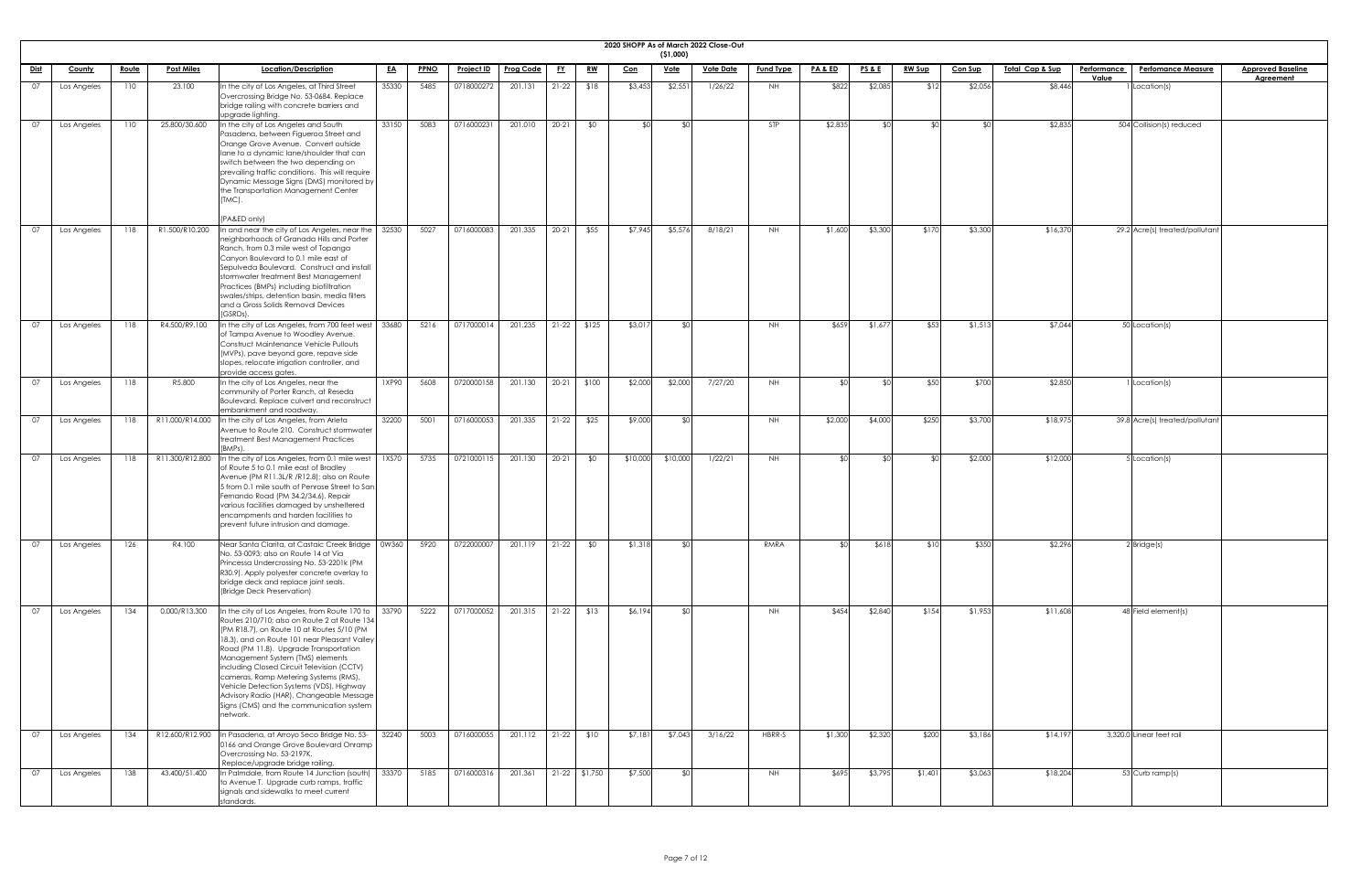|             | 2020 SHOPP As of March 2022 Close-Out<br>( \$1,000) |              |                   |                                                                                                                                                                                                                                                                                                                                                                                                                                                                                                                                 |           |             |                   |                  |              |                 |            |             |                  |                  |                    |                 |               |                |                            |                                                 |                          |
|-------------|-----------------------------------------------------|--------------|-------------------|---------------------------------------------------------------------------------------------------------------------------------------------------------------------------------------------------------------------------------------------------------------------------------------------------------------------------------------------------------------------------------------------------------------------------------------------------------------------------------------------------------------------------------|-----------|-------------|-------------------|------------------|--------------|-----------------|------------|-------------|------------------|------------------|--------------------|-----------------|---------------|----------------|----------------------------|-------------------------------------------------|--------------------------|
| <u>Dist</u> | County                                              | <u>Route</u> | <b>Post Miles</b> | Location/Description                                                                                                                                                                                                                                                                                                                                                                                                                                                                                                            |           |             |                   | <b>Prog Code</b> |              |                 |            | <u>Vote</u> | <b>Vote Date</b> | <b>Fund Type</b> | <u>PA &amp; ED</u> | <u>PS&amp;E</u> | <b>RW Sup</b> |                | <u>Total Cap &amp; Sup</u> | <b>Performance</b><br><b>Perfomance Measure</b> | <b>Approved Baseline</b> |
|             |                                                     |              |                   |                                                                                                                                                                                                                                                                                                                                                                                                                                                                                                                                 | <u>EA</u> | <b>PPNO</b> | <u>Project ID</u> |                  | <u>FY</u>    | <u>RW</u>       | <u>Con</u> |             |                  |                  |                    |                 |               | <u>Con Sup</u> |                            | Value                                           | <b>Agreement</b>         |
| 07          | Los Angeles                                         | 110          | 23.100            | In the city of Los Angeles, at Third Street<br>Overcrossing Bridge No. 53-0684. Replace<br>bridge railing with concrete barriers and<br>upgrade lighting.                                                                                                                                                                                                                                                                                                                                                                       | 35330     | 5485        | 0718000272        | 201.131          | $21-22$      | \$18            | \$3,453    | \$2,551     | 1/26/22          | NH .             | \$822              | \$2,085         | \$12          | \$2,056        | \$8,446                    | I Location(s)                                   |                          |
| - 07        | Los Angeles                                         | 110          | 25.800/30.600     | In the city of Los Angeles and South<br>Pasadena, between Figueroa Street and<br>Orange Grove Avenue. Convert outside<br>lane to a dynamic lane/shoulder that can<br>switch between the two depending on<br>prevailing traffic conditions. This will require<br>Dynamic Message Signs (DMS) monitored by<br>the Transportation Management Center<br>(TMC).<br>(PA&ED only)                                                                                                                                                      | 33150     | 5083        | 0716000231        | 201.010          | $20 - 21$    | \$0             | \$∩        |             |                  | STP              | \$2,835            | .SO             |               |                | \$2,835                    | 504 Collision(s) reduced                        |                          |
| 07          | Los Angeles                                         | 118          | R1.500/R10.200    | In and near the city of Los Angeles, near the<br>neighborhoods of Granada Hills and Porter<br>Ranch, from 0.3 mile west of Topanga<br>Canyon Boulevard to 0.1 mile east of<br>Sepulveda Boulevard. Construct and install<br>stormwater treatment Best Management<br>Practices (BMPs) including biofiltration<br>swales/strips, detention basin, media filters<br>and a Gross Solids Removal Devices<br>(GSRDs).                                                                                                                 | 32530     | 5027        | 0716000083        | 201.335          | $20 - 21$    | \$55            | \$7,945    | \$5,576     | 8/18/21          | NH .             | \$1,600            | \$3,300         | \$170         | \$3,300        | \$16,370                   | 29.2 Acre(s) treated/pollutant                  |                          |
| - 07        | Los Angeles                                         | 118          | R4.500/R9.100     | In the city of Los Angeles, from 700 feet west<br>of Tampa Avenue to Woodley Avenue.<br>Construct Maintenance Vehicle Pullouts<br>(MVPs), pave beyond gore, repave side<br>slopes, relocate irrigation controller, and<br>provide access gates.                                                                                                                                                                                                                                                                                 | 33680     | 5216        | 0717000014        | 201.235          |              | $21-22$ \$125   | \$3,017    |             |                  | NH.              | \$659              | \$1,677         | \$53          | \$1,513        | \$7,044                    | 50 Location(s)                                  |                          |
| 07          | Los Angeles                                         | 118          | R5.800            | In the city of Los Angeles, near the<br>community of Porter Ranch, at Reseda<br>Boulevard. Replace culvert and reconstruct<br>embankment and roadway.                                                                                                                                                                                                                                                                                                                                                                           | 1XP90     | 5608        | 0720000158        | 201.130          | $20-21$      | \$100           | \$2,000    | \$2,000     | 7/27/20          | <b>NH</b>        |                    | ላ ሰ             | \$50          | \$700          | \$2,850                    | Location(s)                                     |                          |
| 07          | Los Angeles                                         | 118          |                   | R11.000/R14.000 In the city of Los Angeles, from Arleta<br>Avenue to Route 210. Construct stormwater<br>treatment Best Management Practices<br>(BMPs).                                                                                                                                                                                                                                                                                                                                                                          | 32200     | 5001        | 0716000053        | 201.335          | $21-22$      | \$25            | \$9,000    |             |                  | <b>NH</b>        | \$2,000            | \$4,000         | \$250         | \$3,700        | \$18,975                   | 39.8 Acre(s) treated/pollutant                  |                          |
| - 07        | Los Angeles                                         | 118          | R11.300/R12.800   | In the city of Los Angeles, from 0.1 mile west<br>of Route 5 to 0.1 mile east of Bradley<br>Avenue (PM R11.3L/R /R12.8); also on Route<br>5 from 0.1 mile south of Penrose Street to San<br>Fernando Road (PM 34.2/34.6). Repair<br>various facilities damaged by unsheltered<br>encampments and harden facilities to<br>prevent future intrusion and damage.                                                                                                                                                                   | 1XS70     | 5735        | 0721000115        | 201.130          | $20 - 21$    | \$0             | \$10,000   | \$10,000    | 1/22/21          | <b>NH</b>        |                    | ዳበ              |               | \$2,000        | \$12,000                   | 5 Location(s)                                   |                          |
| 07          | Los Angeles                                         | 126          | R4.100            | Near Santa Clarita, at Castaic Creek Bridge<br>No. 53-0093; also on Route 14 at Via<br>Princessa Undercrossing No. 53-2201k (PM<br>R30.9). Apply polyester concrete overlay to<br>bridge deck and replace joint seals.<br>(Bridge Deck Preservation)                                                                                                                                                                                                                                                                            | 0W360     | 5920        | 0722000007        | 201.119          | $21-22$      | \$0             | \$1,318    |             |                  | RMRA             |                    | \$618           | \$10          | \$350          | \$2,296                    | $2$ Bridge(s)                                   |                          |
| 07          | Los Angeles                                         | 134          | 0.000/R13.300     | In the city of Los Angeles, from Route 170 to $\int$ 33790<br>Routes 210/710; also on Route 2 at Route 134<br>(PM R18.7), on Route 10 at Routes 5/10 (PM<br>[18.3], and on Route 101 near Pleasant Valley]<br>Road (PM 11.8). Upgrade Transportation<br>Management System (TMS) elements<br>including Closed Circuit Television (CCTV)<br>cameras, Ramp Metering Systems (RMS),<br>Vehicle Detection Systems (VDS), Highway<br>Advisory Radio (HAR), Changeable Message<br>Signs (CMS) and the communication system<br>network. |           | 5222        | 0717000052        | 201.315          | $21-22$      | \$13            | \$6,194    |             |                  | NH               | \$454              | \$2,840         | \$154         | \$1,953        | \$11,608                   | 48 Field element(s)                             |                          |
| 07          | Los Angeles                                         | 134          |                   | R12.600/R12.900   In Pasadena, at Arroyo Seco Bridge No. 53-<br>0166 and Orange Grove Boulevard Onramp<br>Overcrossing No. 53-2197K.<br>Replace/upgrade bridge railing.                                                                                                                                                                                                                                                                                                                                                         | 32240     | 5003        | 0716000055        | 201.112          | $21-22$ \$10 |                 | \$7,181    | \$7,043     | 3/16/22          | HBRR-S           | \$1,300            | \$2,320         | \$200         | \$3,186        | \$14,197                   | 3,320.0 Linear feet rail                        |                          |
| 07          | Los Angeles                                         | 138          | 43.400/51.400     | In Palmdale, from Route 14 Junction (south)<br>to Avenue T. Upgrade curb ramps, traffic<br>signals and sidewalks to meet current<br>standards.                                                                                                                                                                                                                                                                                                                                                                                  | 33370     | 5185        | 0716000316        | 201.361          |              | $21-22$ \$1,750 | \$7,500    | ላ የ         |                  | <b>NH</b>        | \$695              | \$3,795         | \$1,401       | \$3,063        | \$18,204                   | 53 Curb ramp(s)                                 |                          |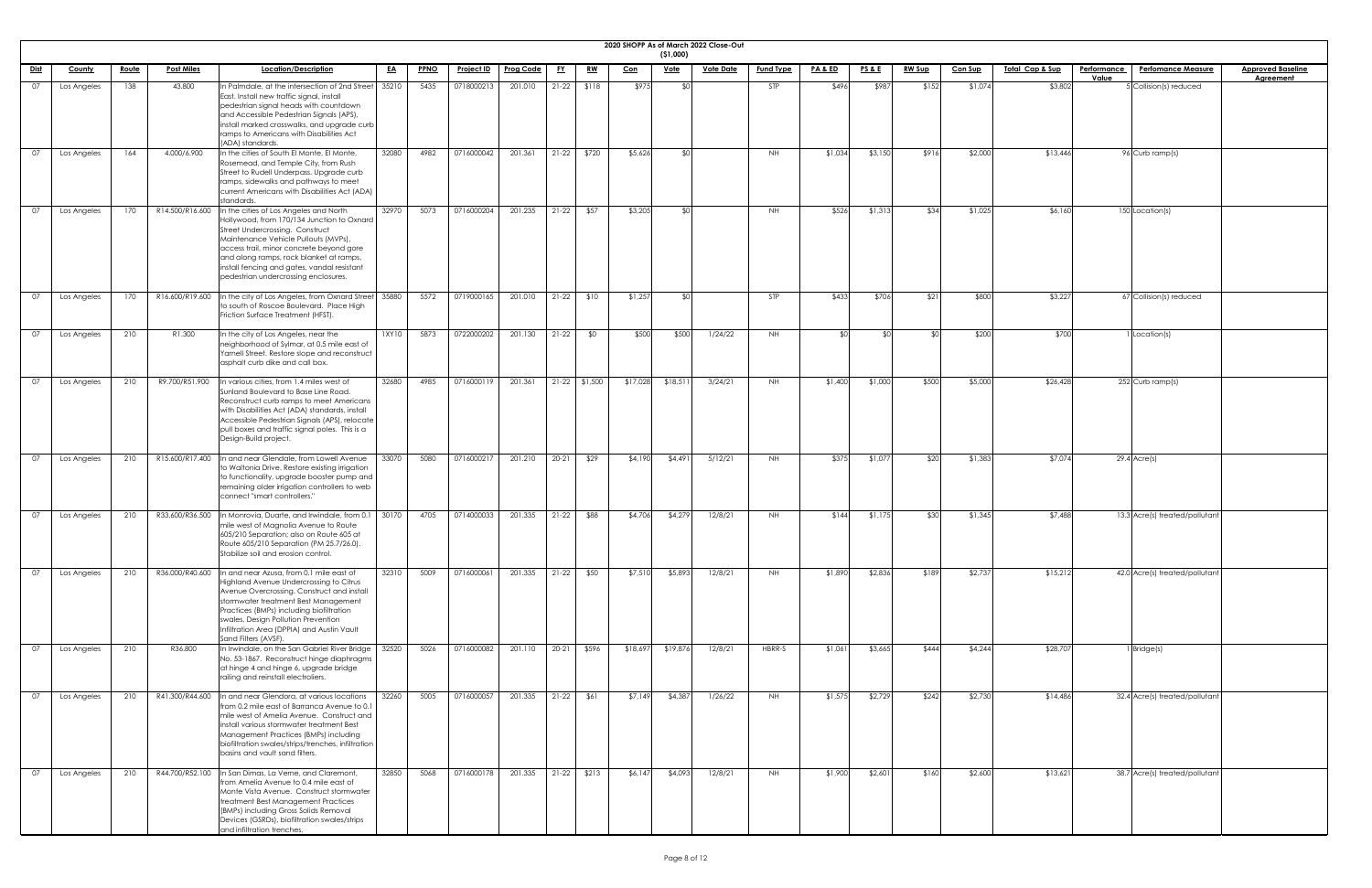|             |               |              |                   |                                                                                                                                                                                                                                                                                                                                                             |           |             |                   |                  |           |                 |            |             | 2020 SHOPP As of March 2022 Close-Out |                  |                    |                 |               |                |                            |                    |                                |                          |
|-------------|---------------|--------------|-------------------|-------------------------------------------------------------------------------------------------------------------------------------------------------------------------------------------------------------------------------------------------------------------------------------------------------------------------------------------------------------|-----------|-------------|-------------------|------------------|-----------|-----------------|------------|-------------|---------------------------------------|------------------|--------------------|-----------------|---------------|----------------|----------------------------|--------------------|--------------------------------|--------------------------|
|             |               |              | <b>Post Miles</b> | Location/Description                                                                                                                                                                                                                                                                                                                                        |           |             |                   | <b>Prog Code</b> |           |                 |            | ( \$1,000)  | <b>Vote Date</b>                      |                  | <u>PA &amp; ED</u> |                 |               |                | <u>Total Cap &amp; Sup</u> | <b>Performance</b> | <b>Perfomance Measure</b>      | <b>Approved Baseline</b> |
| <u>Dist</u> | <b>County</b> | <u>Route</u> |                   |                                                                                                                                                                                                                                                                                                                                                             | <u>EA</u> | <b>PPNO</b> | <u>Project ID</u> |                  | <u>FY</u> | <u>RW</u>       | <u>Con</u> | <u>Vote</u> |                                       | <b>Fund Type</b> |                    | <b>PS&amp;E</b> | <u>RW Sup</u> | <u>Con Sup</u> |                            | Value              |                                | <b>Agreement</b>         |
| 07          | Los Angeles   | 138          | 43.800            | n Palmdale, at the intersection of 2nd Street   35210<br>East. Install new traffic signal, install<br>pedestrian signal heads with countdown<br>and Accessible Pedestrian Signals (APS),<br>install marked crosswalks, and upgrade curb<br>ramps to Americans with Disabilities Act                                                                         |           | 5435        | 0718000213        | 201.010          |           | $21-22$ \$118   | \$975      |             |                                       | STP              | \$496              | \$987           | \$152         | \$1,074        | \$3,802                    |                    | 5 Collision(s) reduced         |                          |
| 07          | Los Angeles   | 164          | 4.000/6.900       | (ADA) standards.<br>In the cities of South El Monte, El Monte,<br>Rosemead, and Temple City, from Rush<br>Street to Rudell Underpass. Upgrade curb<br>ramps, sidewalks and pathways to meet<br>current Americans with Disabilities Act (ADA)                                                                                                                | 32080     | 4982        | 0716000042        | 201.361          | $21-22$   | \$720           | \$5,626    | ላ የ         |                                       | NH.              | \$1,034            | \$3,150         | \$916         | \$2,000        | \$13,446                   |                    | 96 Curb ramp(s)                |                          |
| 07          | Los Angeles   | 170          | R14.500/R16.600   | standards.<br>In the cities of Los Angeles and North<br>Hollywood, from 170/134 Junction to Oxnard<br>Street Undercrossing. Construct<br>Maintenance Vehicle Pullouts (MVPs),<br>access trail, minor concrete beyond gore<br>and along ramps, rock blanket at ramps,<br>install fencing and gates, vandal resistant<br>pedestrian undercrossing enclosures. | 32970     | 5073        | 0716000204        | 201.235          | $21-22$   | \$57            | \$3,205    |             |                                       | <b>NH</b>        | \$526              | \$1,313         | \$34          | \$1,025        | \$6,160                    |                    | 150 Location(s)                |                          |
| - 07        | Los Angeles   | 170          |                   | R16.600/R19.600  In the city of Los Angeles, from Oxnard Street 35880<br>to south of Roscoe Boulevard. Place High<br>Friction Surface Treatment (HFST).                                                                                                                                                                                                     |           | 5572        | 0719000165        | 201.010          | $21-22$   | \$10            | \$1,257    |             |                                       | STP              | \$433              | \$706           | \$21          | \$800          | \$3,227                    |                    | 67 Collision(s) reduced        |                          |
| 07          | Los Angeles   | 210          | R1.300            | In the city of Los Angeles, near the<br>neighborhood of Sylmar, at 0.5 mile east of<br>Yarnell Street. Restore slope and reconstruct<br>asphalt curb dike and call box.                                                                                                                                                                                     | 1XY10     | 5873        | 0722000202        | 201.130          | $21-22$   | \$0             | \$500      | \$500       | 1/24/22                               | NH.              | ≮∩                 | _⊄∩             |               | \$200          | \$700                      |                    | 1 Location(s)                  |                          |
| 07          | Los Angeles   | 210          | R9.700/R51.900    | In various cities, from 1.4 miles west of<br>Sunland Boulevard to Base Line Road.<br>Reconstruct curb ramps to meet Americans<br>with Disabilities Act (ADA) standards, install<br>Accessible Pedestrian Signals (APS), relocate<br>pull boxes and traffic signal poles. This is a<br>Design-Build project.                                                 | 32680     | 4985        | 0716000119        | 201.361          |           | $21-22$ \$1,500 | \$17,028   | \$18,51     | 3/24/21                               | <b>NH</b>        | \$1,400            | \$1,000         | \$500         | \$5,000        | \$26,428                   |                    | 252 Curb ramp(s)               |                          |
| 07          | Los Angeles   | 210          | R15.600/R17.400   | In and near Glendale, from Lowell Avenue<br>to Waltonia Drive. Restore existing irrigation<br>to functionality, upgrade booster pump and<br>remaining older irrigation controllers to web<br>connect "smart controllers."                                                                                                                                   | 33070     | 5080        | 0716000217        | 201.210          | $20 - 21$ | \$29            | \$4,190    | \$4,49]     | 5/12/21                               | <b>NH</b>        | \$375              | \$1,077         | \$20          | \$1,38         | \$7,074                    |                    | $29.4$ Acre(s)                 |                          |
| በ7          | Los Angeles   | 210          |                   | R33.600/R36.500  In Monrovia, Duarte, and Irwindale, from 0.1   30170<br>mile west of Magnolia Avenue to Route<br>605/210 Separation; also on Route 605 at<br>Route 605/210 Separation (PM 25.7/26.0).<br>Stabilize soil and erosion control.                                                                                                               |           | 4705        | 0714000033        | 201.335          | $21-22$   | \$88            | \$4,706    | \$4,279     | 12/8/21                               | <b>NH</b>        | \$144              | \$1,175         | \$30          | \$1,345        | \$7,488                    |                    | 13.3 Acre(s) treated/pollutant |                          |
|             | Los Angeles   | 210          | R36.000/R40.600   | In and near Azusa, from 0.1 mile east of<br>Highland Avenue Undercrossing to Citrus<br>Avenue Overcrossing. Construct and install<br>stormwater treatment Best Management<br>Practices (BMPs) including biofiltration<br>swales, Design Pollution Prevention<br>Infiltration Area (DPPIA) and Austin Vault<br>Sand Filters (AVSF).                          | 32310     | 5009        | 0716000061        | 201.335          | $21-22$   | \$50            | \$7,510    | \$5,893     | 12/8/21                               | <b>NH</b>        | \$1,890            | \$2,836         | \$189         | \$2,73         | \$15,212                   |                    | 42.0 Acre(s) treated/pollutant |                          |
| . OZ        | Los Angeles   | 210          | R36.800           | In Irwindale, on the San Gabriel River Bridge<br>No. 53-1867. Reconstruct hinge diaphragms<br>at hinge 4 and hinge 6, upgrade bridge<br>railing and reinstall electroliers.                                                                                                                                                                                 | 32520     | 5026        | 0716000082        | 201.110          | $20 - 21$ | \$596           | \$18,697   | \$19,876    | 12/8/21                               | HBRR-S           | \$1,061            | \$3,665         | \$444         | \$4,244        | \$28,707                   |                    | $1$ Bridge $(s)$               |                          |
| 07          | Los Angeles   | 210          |                   | R41.300/R44.600  In and near Glendora, at various locations<br>from 0.2 mile east of Barranca Avenue to 0.1<br>mile west of Amelia Avenue. Construct and<br>install various stormwater treatment Best<br>Management Practices (BMPs) including<br>biofiltration swales/strips/trenches, infiltration<br>basins and vault sand filters.                      | 32260     | 5005        | 0716000057        | 201.335          | $21-22$   | \$61            | \$7,149    | \$4,387     | 1/26/22                               | NH               | \$1,575            | \$2,729         | \$242         | \$2,730        | \$14,486                   |                    | 32.4 Acre(s) treated/pollutant |                          |
| 07          | Los Angeles   | 210          | R44.700/R52.100   | In San Dimas, La Verne, and Claremont,<br>from Amelia Avenue to 0.4 mile east of<br>Monte Vista Avenue. Construct stormwater<br>treatment Best Management Practices<br>(BMPs) including Gross Solids Removal<br>Devices (GSRDs), biofiltration swales/strips<br>and infiltration trenches.                                                                  | 32850     | 5068        | 0716000178        | 201.335          | $21-22$   | \$213           | \$6,147    | \$4,093     | 12/8/21                               | NH               | \$1,900            | \$2,601         | \$160         | \$2,600        | \$13,621                   |                    | 38.7 Acre(s) treated/pollutant |                          |

| eline<br><u>It</u> |
|--------------------|
|                    |
|                    |
|                    |
|                    |
|                    |
|                    |
|                    |
|                    |
|                    |
|                    |
|                    |
|                    |
|                    |
|                    |
|                    |
|                    |
|                    |
|                    |
|                    |
|                    |
|                    |
|                    |
|                    |
|                    |
|                    |
|                    |
|                    |
|                    |
|                    |
|                    |
|                    |
|                    |
|                    |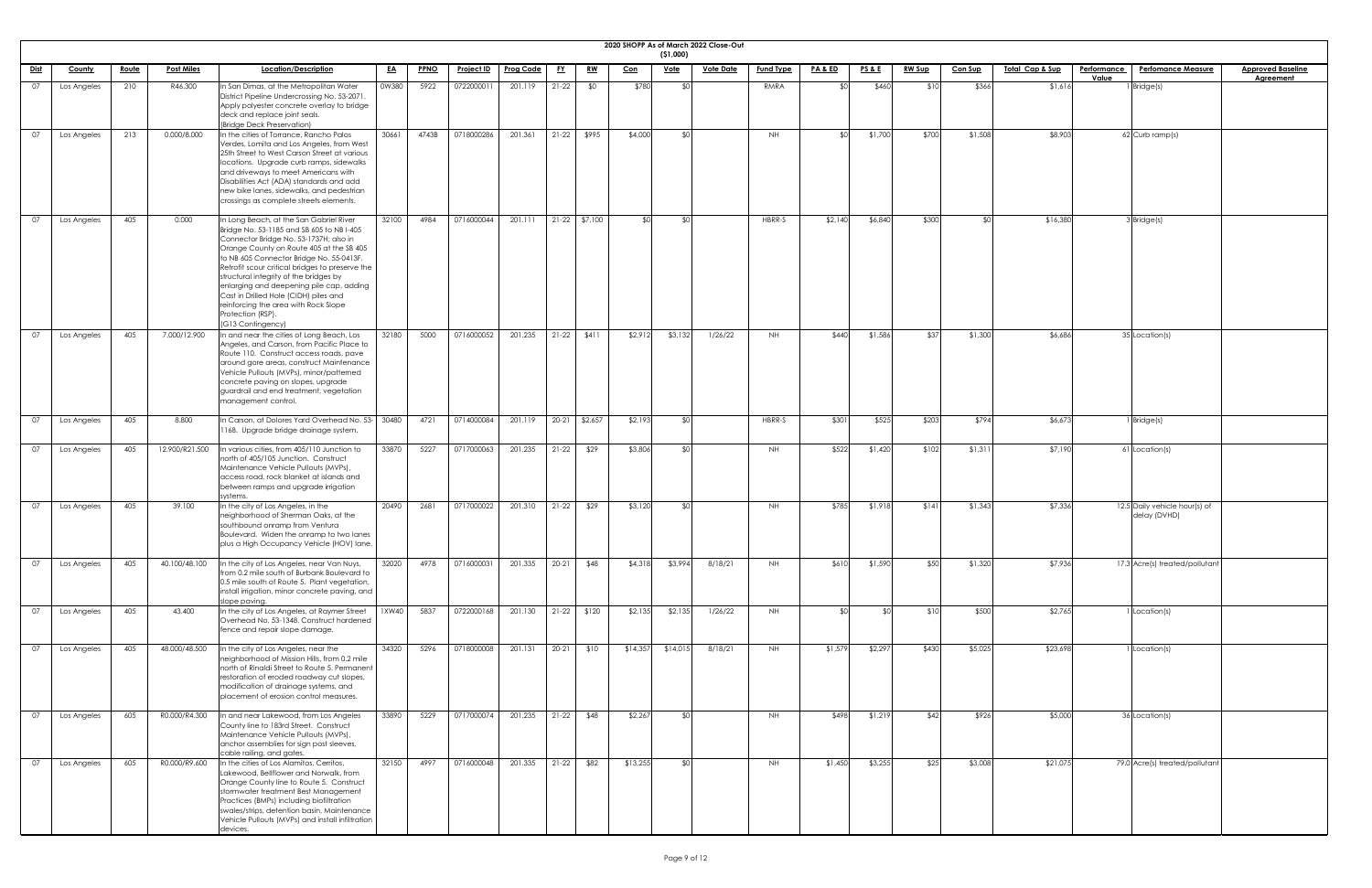| <b>2020 SHOPP</b> |  |
|-------------------|--|

|             |               |              |                   |                                                                                                                                                                                                                                                                                                                                                                                                                                                                                            |           |             |                   |                  |           |                 |            | ( \$1,000)  | 2020 SHOPP As of March 2022 Close-Out |                  |                    |                 |               |                |                            |                    |                                               |                          |
|-------------|---------------|--------------|-------------------|--------------------------------------------------------------------------------------------------------------------------------------------------------------------------------------------------------------------------------------------------------------------------------------------------------------------------------------------------------------------------------------------------------------------------------------------------------------------------------------------|-----------|-------------|-------------------|------------------|-----------|-----------------|------------|-------------|---------------------------------------|------------------|--------------------|-----------------|---------------|----------------|----------------------------|--------------------|-----------------------------------------------|--------------------------|
| <u>Dist</u> | <b>County</b> | <u>Route</u> | <b>Post Miles</b> | Location/Description                                                                                                                                                                                                                                                                                                                                                                                                                                                                       | <u>EA</u> | <b>PPNO</b> | <u>Project ID</u> | <b>Prog Code</b> | <u>FY</u> | <u>RW</u>       | <u>Con</u> | <u>Vote</u> | <b>Vote Date</b>                      | <b>Fund Type</b> | <u>PA &amp; ED</u> | <b>PS&amp;E</b> | <b>RW Sup</b> | <b>Con Sup</b> | <u>Total Cap &amp; Sup</u> | <b>Performance</b> | <b>Perfomance Measure</b>                     | <b>Approved Baseline</b> |
| 07          |               | 210          | R46.300           | In San Dimas, at the Metropolitan Water                                                                                                                                                                                                                                                                                                                                                                                                                                                    | 0W380     | 5922        | 0722000011        | 201.119          | $21-22$   | \$0             | \$780      |             |                                       | RMRA             | ¶∩\$               | \$460           | \$10          | \$366          | \$1,616                    | Value              | $1$ Bridge(s)                                 | <b>Agreement</b>         |
|             | Los Angeles   |              |                   | District Pipeline Undercrossing No. 53-2071.<br>Apply polyester concrete overlay to bridge<br>deck and replace joint seals.<br>(Bridge Deck Preservation)                                                                                                                                                                                                                                                                                                                                  |           |             |                   |                  |           |                 |            |             |                                       |                  |                    |                 |               |                |                            |                    |                                               |                          |
| 07          | Los Angeles   | 213          | 0.000/8.000       | In the cities of Torrance, Rancho Palos<br>Verdes, Lomita and Los Angeles, from West<br>25th Street to West Carson Street at various<br>locations. Upgrade curb ramps, sidewalks<br>and driveways to meet Americans with<br>Disabilities Act (ADA) standards and add<br>new bike lanes, sidewalks, and pedestrian<br>crossings as complete streets elements.                                                                                                                               | 30661     | 4743B       | 0718000286        | 201.361          | $21-22$   | \$995           | \$4,000    |             |                                       | <b>NH</b>        | ീ∩≵                | \$1,700         | \$700         | \$1,508        | \$8,903                    |                    | 62 Curb ramp(s)                               |                          |
| 07          | Los Angeles   | 405          | 0.000             | In Long Beach, at the San Gabriel River<br>Bridge No. 53-1185 and SB 605 to NB I-405<br>Connector Bridge No. 53-1737H; also in<br>Orange County on Route 405 at the SB 405<br>to NB 605 Connector Bridge No. 55-0413F.<br>Retrofit scour critical bridges to preserve the<br>structural integrity of the bridges by<br>enlarging and deepening pile cap, adding<br>Cast in Drilled Hole (CIDH) piles and<br>reinforcing the area with Rock Slope<br>Protection (RSP).<br>(G13 Contingency) | 32100     | 4984        | 0716000044        | 201.111          |           | $21-22$ \$7,100 | ⊄∩         |             |                                       | HBRR-S           | \$2,140            | \$6,840         | \$300         |                | \$16,380                   |                    | 3 Bridge(s)                                   |                          |
| 07          | Los Angeles   | 405          | 7.000/12.900      | In and near the cities of Long Beach, Los<br>Angeles, and Carson, from Pacific Place to<br>Route 110. Construct access roads, pave<br>around gore areas, construct Maintenance<br>Vehicle Pullouts (MVPs), minor/patterned<br>concrete paving on slopes, upgrade<br>guardrail and end treatment, vegetation<br>management control.                                                                                                                                                         | 32180     | 5000        | 0716000052        | 201.235          | $21-22$   | \$411           | \$2,912    | \$3,132     | 1/26/22                               | NH .             | \$440              | \$1,586         | \$37          | \$1,300        | \$6,686                    |                    | 35 Location(s)                                |                          |
| 07          | Los Angeles   | 405          | 8.800             | In Carson, at Dolores Yard Overhead No. 53- 30480<br>1168. Upgrade bridge drainage system.                                                                                                                                                                                                                                                                                                                                                                                                 |           | 4721        | 0714000084        | 201.119          |           | 20-21 \$2,657   | \$2,193    |             |                                       | HBRR-S           | \$301              | \$525           | \$203         | \$794          | \$6,673                    |                    | 1 Bridge(s)                                   |                          |
| 07          | Los Angeles   | 405          | 12.900/R21.500    | n various cities, from 405/110 Junction to<br>north of 405/105 Junction. Construct<br>Maintenance Vehicle Pullouts (MVPs),<br>access road, rock blanket at islands and<br>between ramps and upgrade irrigation<br>systems.                                                                                                                                                                                                                                                                 | 33870     | 5227        | 0717000063        | 201.235          | $21-22$   | \$29            | \$3,806    |             |                                       | NH.              | \$522              | \$1,420         | \$102         | \$1,311        | \$7,190                    |                    | 61 Location(s)                                |                          |
| 07          | Los Angeles   | 405          | 39.100            | In the city of Los Angeles, in the<br>neighborhood of Sherman Oaks, at the<br>southbound onramp from Ventura<br>Boulevard. Widen the onramp to two lanes<br>plus a High Occupancy Vehicle (HOV) lane.                                                                                                                                                                                                                                                                                      | 20490     | 2681        | 0717000022        | 201.310          | $21-22$   | \$29            | \$3,120    |             |                                       | NH .             | \$785              | \$1,918         | \$141         | \$1,343        | \$7,336                    |                    | 12.5 Daily vehicle hour(s) of<br>delay (DVHD) |                          |
| 07          | Los Angeles   | 405          | 40.100/48.100     | In the city of Los Angeles, near Van Nuys,<br>from 0.2 mile south of Burbank Boulevard to<br>0.5 mile south of Route 5. Plant vegetation,<br>install irrigation, minor concrete paving, and<br>slope paving.                                                                                                                                                                                                                                                                               | 32020     | 4978        | 0716000031        | 201.335          | $20 - 21$ | \$48            | \$4,318    | \$3,994     | 8/18/21                               | NH .             | \$610              | \$1,590         | \$50          | \$1,320        | \$7,936                    |                    | 17.3 Acre(s) treated/pollutant                |                          |
| 07          | Los Angeles   | 405          | 43.400            | In the city of Los Angeles, at Raymer Street<br>Overhead No. 53-1348. Construct hardened<br>fence and repair slope damage.                                                                                                                                                                                                                                                                                                                                                                 | 1XW40     | 5837        | 0722000168        | 201.130          | $21-22$   | \$120           | \$2,135    | \$2,135     | 1/26/22                               | <b>NH</b>        | ו∩⊅                |                 | \$10          | \$500          | \$2,765                    |                    | I Location(s)                                 |                          |
| 07          | Los Angeles   | 405          | 48.000/48.500     | In the city of Los Angeles, near the<br>neighborhood of Mission Hills, from 0.2 mile<br>north of Rinaldi Street to Route 5. Permanent<br>restoration of eroded roadway cut slopes,<br>modification of drainage systems, and<br>placement of erosion control measures.                                                                                                                                                                                                                      | 34320     | 5296        | 0718000008        | 201.131          | $20-21$   | \$10            | \$14,35    | \$14,013    | 8/18/21                               | NH .             | \$1,579            | \$2,297         | \$430         | \$5,025        | \$23,698                   |                    | Location(s)                                   |                          |
| 07          | Los Angeles   | 605          | R0.000/R4.300     | In and near Lakewood, from Los Angeles<br>County line to 183rd Street. Construct<br>Maintenance Vehicle Pullouts (MVPs),<br>anchor assemblies for sign post sleeves,<br>cable railing, and gates.                                                                                                                                                                                                                                                                                          | 33890     | 5229        | 0717000074        | 201.235          |           | $21-22$ \$48    | \$2,267    |             |                                       | <b>NH</b>        | \$498              | \$1,219         | \$42          | \$926          | \$5,000                    |                    | 36 Location(s)                                |                          |
| 07          | Los Angeles   | 605          | R0.000/R9.600     | In the cities of Los Alamitos, Cerritos,<br>Lakewood, Bellflower and Norwalk, from<br>Orange County line to Route 5. Construct<br>stormwater treatment Best Management<br>Practices (BMPs) including biofiltration<br>swales/strips, detention basin, Maintenance<br>Vehicle Pullouts (MVPs) and install infiltration<br>devices.                                                                                                                                                          | 32150     | 4997        | 0716000048        | 201.335          | $21-22$   | \$82            | \$13,255   |             |                                       | NH.              | \$1,450            | \$3,255         | \$25          | \$3,008        | \$21,075                   |                    | 79.0 Acre(s) treated/pollutant                |                          |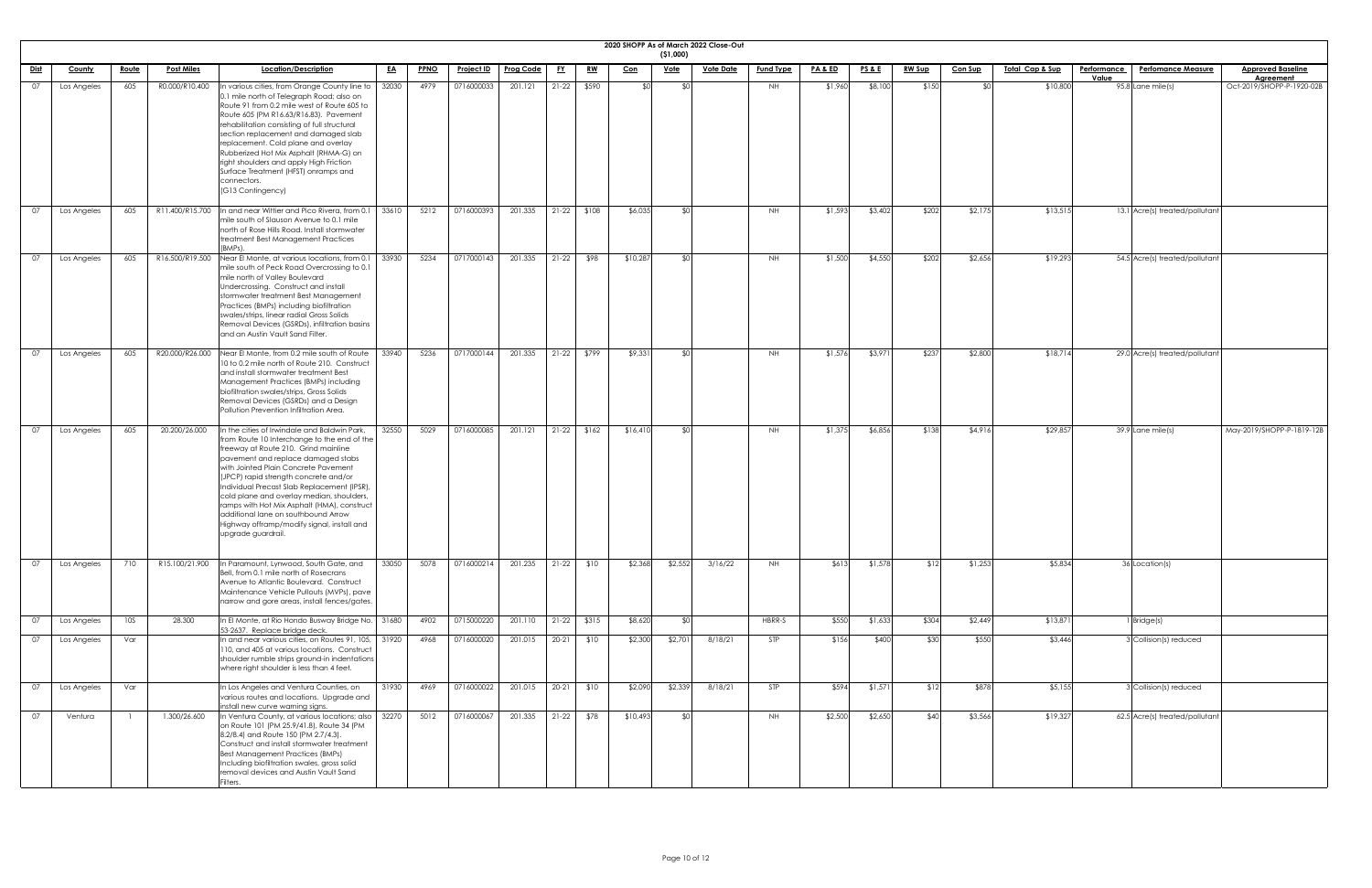|             | 2020 SHOPP As of March 2022 Close-Out<br>(51,000) |              |                   |                                                                                                                                                                                                                                                                                                                                                                                                                                                                                                                 |           |             |                   |                  |           |               |            |             |                  |                  |                    |                 |               |                |                             |                    |                                |                                               |
|-------------|---------------------------------------------------|--------------|-------------------|-----------------------------------------------------------------------------------------------------------------------------------------------------------------------------------------------------------------------------------------------------------------------------------------------------------------------------------------------------------------------------------------------------------------------------------------------------------------------------------------------------------------|-----------|-------------|-------------------|------------------|-----------|---------------|------------|-------------|------------------|------------------|--------------------|-----------------|---------------|----------------|-----------------------------|--------------------|--------------------------------|-----------------------------------------------|
| <u>Dist</u> | <b>County</b>                                     | <u>Route</u> | <b>Post Miles</b> | Location/Description                                                                                                                                                                                                                                                                                                                                                                                                                                                                                            | <u>EA</u> | <b>PPNO</b> | <u>Project ID</u> | <b>Prog Code</b> | <u>FY</u> | <u>RW</u>     | <u>Con</u> | <u>Vote</u> | <b>Vote Date</b> | <b>Fund Type</b> | <u>PA &amp; ED</u> | <b>PS&amp;E</b> | <u>RW Sup</u> | <b>Con Sup</b> | <u> Total Cap &amp; Sup</u> | <u>Performance</u> | <b>Perfomance Measure</b>      | <b>Approved Baseline</b>                      |
| 07          | Los Angeles                                       | 605          | R0.000/R10.400    | In various cities, from Orange County line to<br>0.1 mile north of Telegraph Road; also on<br>Route 91 from 0.2 mile west of Route 605 to<br>Route 605 (PM R16.63/R16.83). Pavement<br>rehabilitation consisting of full structural<br>section replacement and damaged slab<br>replacement. Cold plane and overlay<br>Rubberized Hot Mix Asphalt (RHMA-G) on<br>right shoulders and apply High Friction<br>Surface Treatment (HFST) onramps and<br>connectors.<br>(G13 Contingency)                             | 32030     | 4979        | 0716000033        | 201.121          | $21-22$   | \$590         | ፍሰ         | \$0         |                  | NH               | \$1,960            | \$8,100         | \$150         |                | \$10,800                    | Value              | 95.8 Lane mile(s)              | <b>Agreement</b><br>Oct-2019/SHOPP-P-1920-02B |
| 07          | Los Angeles                                       | 605          | R11.400/R15.700   | In and near Wittier and Pico Rivera, from 0.1<br>mile south of Slauson Avenue to 0.1 mile<br>north of Rose Hills Road. Install stormwater<br>treatment Best Management Practices<br>(BMPs).                                                                                                                                                                                                                                                                                                                     | 33610     | 5212        | 0716000393        | 201.335          | $21-22$   | \$108         | \$6,035    | _\$∩l       |                  | NH.              | \$1,593            | \$3,402         | \$202         | \$2,175        | \$13,515                    |                    | 13.1 Acre(s) treated/pollutant |                                               |
| 07          | Los Angeles                                       | 605          | R16.500/R19.500   | Near El Monte, at various locations, from 0.1<br>mile south of Peck Road Overcrossing to 0.1<br>mile north of Valley Boulevard<br>Undercrossing. Construct and install<br>stormwater treatment Best Management<br>Practices (BMPs) including biofiltration<br>swales/strips, linear radial Gross Solids<br>Removal Devices (GSRDs), infiltration basins<br>and an Austin Vault Sand Filter.                                                                                                                     | 33930     | 5234        | 0717000143        | 201.335          | $21-22$   | \$98          | \$10,287   | ¶∩≵         |                  | NH               | \$1,500            | \$4,550         | \$202         | \$2,656        | \$19,293                    |                    | 54.5 Acre(s) treated/pollutant |                                               |
| 07          | Los Angeles                                       | 605          |                   | R20.000/R26.000 Near El Monte, from 0.2 mile south of Route<br>10 to 0.2 mile north of Route 210. Construct<br>and install stormwater treatment Best<br>Management Practices (BMPs) including<br>biofiltration swales/strips, Gross Solids<br>Removal Devices (GSRDs) and a Design<br>Pollution Prevention Infiltration Area.                                                                                                                                                                                   | 33940     | 5236        | 0717000144        | 201.335          | $21-22$   | \$799         | \$9,331    | \$0         |                  | <b>NH</b>        | \$1,576            | \$3,971         | \$237         | \$2,800        | \$18,714                    |                    | 29.0 Acre(s) treated/pollutant |                                               |
| 07          | Los Angeles                                       | 605          | 20.200/26.000     | In the cities of Irwindale and Baldwin Park,<br>from Route 10 Interchange to the end of the<br>freeway at Route 210. Grind mainline<br>pavement and replace damaged stabs<br>with Jointed Plain Concrete Pavement<br>(JPCP) rapid strength concrete and/or<br>Individual Precast Slab Replacement (IPSR),<br>cold plane and overlay median, shoulders<br>ramps with Hot Mix Asphalt (HMA), construct<br>additional lane on southbound Arrow<br>Highway offramp/modify signal, install and<br>upgrade guardrail. | 32550     | 5029        | 0716000085        | 201.121          |           | $21-22$ \$162 | \$16,410   | \$0         |                  | NH               | \$1,375            | \$6,856         | \$138         | \$4,916        | \$29,857                    |                    | 39.9 Lane mile(s)              | May-2019/SHOPP-P-1819-12B                     |
| 07          | Los Angeles                                       | 710          | R15.100/21.900    | In Paramount, Lynwood, South Gate, and<br>Bell, from 0.1 mile north of Rosecrans<br>Avenue to Atlantic Boulevard. Construct<br>Maintenance Vehicle Pullouts (MVPs), pave<br>narrow and gore areas, install fences/gates.                                                                                                                                                                                                                                                                                        | 33050     | 5078        | 0716000214        | 201.235          | $21-22$   | \$10          | \$2,368    | \$2,552     | 3/16/22          | NH .             | \$613              | \$1,578         | \$12          | \$1,253        | \$5,834                     |                    | 36 Location(s)                 |                                               |
| 07          | Los Angeles                                       | 10S          | 28.300            | In El Monte, at Rio Hondo Busway Bridge No.   31680                                                                                                                                                                                                                                                                                                                                                                                                                                                             |           | 4902        | 0715000220        | 201.110          |           | $21-22$ \$315 | \$8,620    | \$0         |                  | HBRR-S           | \$550              | \$1,633         | \$304         | \$2,449        | \$13,87                     |                    | 1 Bridge(s)                    |                                               |
| 07          | Los Angeles                                       | Var          |                   | 53-2637. Replace bridge deck.<br>In and near various cities, on Routes 91, 105,   31920<br>110, and 405 at various locations. Construct<br>shoulder rumble strips ground-in indentations<br>where right shoulder is less than 4 feet.                                                                                                                                                                                                                                                                           |           | 4968        | 0716000020        | 201.015          |           | 20-21 \$10    | \$2,300    | \$2,701     | 8/18/21          | STP              | \$156              | \$400           | \$30          | \$550          | \$3,446                     |                    | 3 Collision(s) reduced         |                                               |
| 07          | Los Angeles                                       | Var          |                   | In Los Angeles and Ventura Counties, on<br>various routes and locations. Upgrade and                                                                                                                                                                                                                                                                                                                                                                                                                            | 31930     | 4969        | 0716000022        | 201.015          | $20-21$   | \$10          | \$2,090    | \$2,339     | 8/18/21          | STP              | \$594              | \$1,571         |               | \$878          | \$5,155                     |                    | 3 Collision(s) reduced         |                                               |
| 07          | Ventura                                           |              | 1.300/26.600      | install new curve warning signs.<br>In Ventura County, at various locations; also   32270<br>on Route 101 (PM 25.9/41.8), Route 34 (PM<br>8.2/8.4) and Route 150 (PM 2.7/4.3).<br>Construct and install stormwater treatment<br>Best Management Practices (BMPs)<br>Including biofiltration swales, gross solid<br>removal devices and Austin Vault Sand<br>ilters.                                                                                                                                             |           | 5012        | 0716000067        | 201.335          |           | 21-22 \$78    | \$10,493   | \$0         |                  | <b>NH</b>        | \$2,500            | \$2,650         | \$40          | \$3,566        | \$19,327                    |                    | 62.5 Acre(s) treated/pollutant |                                               |

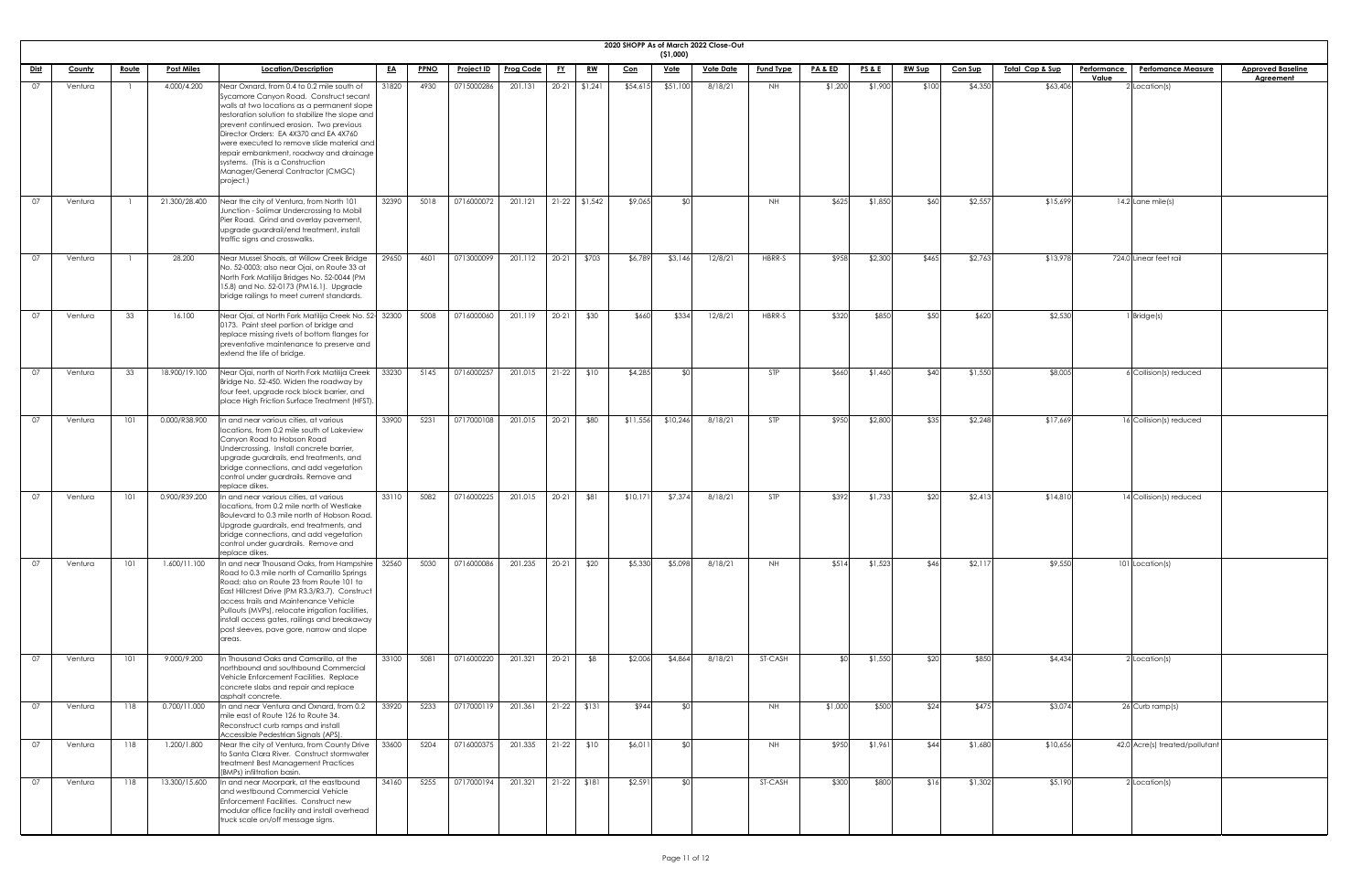|             |               |              |                   |                                                                                                                                                                                                                                                                                                                                                                                                                                                            |           |             |                   |                     |           |                 |            |             | 2020 SHOPP As of March 2022 Close-Out |                  |                    |                 |               |                |                             |                                                          |                                              |
|-------------|---------------|--------------|-------------------|------------------------------------------------------------------------------------------------------------------------------------------------------------------------------------------------------------------------------------------------------------------------------------------------------------------------------------------------------------------------------------------------------------------------------------------------------------|-----------|-------------|-------------------|---------------------|-----------|-----------------|------------|-------------|---------------------------------------|------------------|--------------------|-----------------|---------------|----------------|-----------------------------|----------------------------------------------------------|----------------------------------------------|
|             |               |              |                   |                                                                                                                                                                                                                                                                                                                                                                                                                                                            |           |             |                   |                     |           |                 |            | ( \$1,000)  |                                       |                  |                    |                 |               |                |                             |                                                          |                                              |
| <u>Dist</u> | <b>County</b> | <u>Route</u> | <b>Post Miles</b> | Location/Description                                                                                                                                                                                                                                                                                                                                                                                                                                       | <u>EA</u> | <b>PPNO</b> | <u>Project ID</u> | <b>Prog Code</b>    | <u>FY</u> | <u>RW</u>       | <u>Con</u> | <u>Vote</u> | <b>Vote Date</b>                      | <b>Fund Type</b> | <u>PA &amp; ED</u> | <b>PS&amp;E</b> | <b>RW Sup</b> | <b>Con Sup</b> | <u> Total Cap &amp; Sup</u> | <b>Performance</b><br><b>Perfomance Measure</b><br>Value | <b>Approved Baseline</b><br><b>Agreement</b> |
| 07          | Ventura       |              | 4.000/4.200       | Near Oxnard, from 0.4 to 0.2 mile south of<br>Sycamore Canyon Road. Construct secant<br>walls at two locations as a permanent slope<br>restoration solution to stabilize the slope and<br>prevent continued erosion. Two previous<br>Director Orders: EA 4X370 and EA 4X760<br>were executed to remove slide material and<br>repair embankment, roadway and drainage<br>systems. (This is a Construction<br>Manager/General Contractor (CMGC)<br>project.) | 31820     | 4930        | 0715000286        | 201.131             |           | $20-21$ \$1,241 | \$54,615   | \$51,100    | 8/18/21                               | NH               | \$1,200            | \$1,900         | \$100         | \$4,350        | \$63,406                    | 2 Location(s)                                            |                                              |
| 07          | Ventura       |              | 21.300/28.400     | Near the city of Ventura, from North 101<br>Junction - Solimar Undercrossing to Mobil<br>Pier Road. Grind and overlay pavement,<br>upgrade guardrail/end treatment, install<br>traffic signs and crosswalks.                                                                                                                                                                                                                                               | 32390     | 5018        | 0716000072        | 201.121             |           | $21-22$ \$1,542 | \$9,065    |             |                                       | NH.              | \$625              | \$1,850         | \$60          | \$2,557        | \$15,699                    | $14.2$ Lane mile(s)                                      |                                              |
| 07          | Ventura       |              | 28.200            | Near Mussel Shoals, at Willow Creek Bridge<br>No. 52-0003; also near Ojai, on Route 33 at<br>North Fork Matilija Bridges No. 52-0044 (PM<br>15.8) and No. 52-0173 (PM16.1). Upgrade<br>bridge railings to meet current standards.                                                                                                                                                                                                                          | 29650     | 4601        | 0713000099        | 201.112             |           | 20-21 \$703     | \$6,789    | \$3,146     | 12/8/21                               | HBRR-S           | \$958              | \$2,300         | \$465         | \$2,763        | \$13,978                    | 724.0 Linear feet rail                                   |                                              |
| 07          | Ventura       | 33           | 16.100            | Near Ojai, at North Fork Matilija Creek No. 52- 32300<br>0173. Paint steel portion of bridge and<br>replace missing rivets of bottom flanges for<br>preventative maintenance to preserve and<br>extend the life of bridge.                                                                                                                                                                                                                                 |           | 5008        | 0716000060        | 201.119             | $20 - 21$ | \$30            | \$660      | \$334       | 12/8/21                               | HBRR-S           | \$320              | \$850           | \$50          | \$620          | \$2,530                     | 1 Bridge(s)                                              |                                              |
| 07          | Ventura       | 33           | 18.900/19.100     | Near Ojai, north of North Fork Matilija Creek<br>Bridge No. 52-450. Widen the roadway by<br>four feet, upgrade rock block barrier, and<br>place High Friction Surface Treatment (HFST).                                                                                                                                                                                                                                                                    | 33230     | 5145        | 0716000257        | 201.015             |           | $21-22$ \$10    | \$4,285    |             |                                       | STP              | \$660              | \$1,460         | \$40          | \$1,550        | \$8,005                     | 6 Collision(s) reduced                                   |                                              |
| 07          | Ventura       | 101          | 0.000/R38.900     | In and near various cities, at various<br>locations, from 0.2 mile south of Lakeview<br>Canyon Road to Hobson Road<br>Undercrossing. Install concrete barrier,<br>upgrade guardrails, end treatments, and<br>bridge connections, and add vegetation<br>control under guardrails. Remove and<br>replace dikes.                                                                                                                                              | 33900     | 5231        | 0717000108        | 201.015             | $20-21$   | \$80            | \$11,556   | \$10,246    | 8/18/21                               | <b>STP</b>       | \$950              | \$2,800         | \$35          | \$2,248        | \$17,669                    | 16 Collision(s) reduced                                  |                                              |
| 07          | Ventura       | 101          | 0.900/R39.200     | In and near various cities, at various<br>locations, from 0.2 mile north of Westlake<br>Boulevard to 0.3 mile north of Hobson Road.<br>Upgrade guardrails, end treatments, and<br>bridge connections, and add vegetation<br>control under guardrails. Remove and<br>replace dikes.                                                                                                                                                                         | 33110     | 5082        | 0716000225        | 201.015             | $20-21$   | \$81            | \$10,171   | \$7,374     | 8/18/21                               | <b>STP</b>       | \$392              | \$1,733         | \$20          | \$2,413        | \$14,810                    | 14 Collision(s) reduced                                  |                                              |
| 07          | Ventura       | 101          | 1.600/11.100      | In and near Thousand Oaks, from Hampshire   32560<br>Road to 0.3 mile north of Camarillo Springs<br>Road; also on Route 23 from Route 101 to<br>East Hillcrest Drive (PM R3.3/R3.7). Construct<br>access trails and Maintenance Vehicle<br>Pullouts (MVPs), relocate irrigation facilities,<br>install access gates, railings and breakaway<br>post sleeves, pave gore, narrow and slope<br>areas.                                                         |           | 5030        | 0716000086        | 201.235             | $20 - 21$ | \$20            | \$5,330    | \$5,098     | 8/18/21                               | NH.              | \$514              | \$1,523         | \$46          | \$2,117        | \$9,550                     | 101 Location(s)                                          |                                              |
| 07          | Ventura       | 101          | 9.000/9.200       | In Thousand Oaks and Camarillo, at the<br>northbound and southbound Commercial<br>Vehicle Enforcement Facilities. Replace<br>concrete slabs and repair and replace<br>asphalt concrete.                                                                                                                                                                                                                                                                    | 33100     | 5081        | 0716000220        | 201.321             | $20-21$   | \$8             | \$2,006    | \$4,864     | 8/18/21                               | ST-CASH          | SOL.               | \$1,550         | \$20          | \$850          | \$4,434                     | 2 Location(s)                                            |                                              |
| 07          | Ventura       | 118          | 0.700/11.000      | In and near Ventura and Oxnard, from 0.2<br>mile east of Route 126 to Route 34.<br>Reconstruct curb ramps and install<br>Accessible Pedestrian Signals (APS).                                                                                                                                                                                                                                                                                              | 33920     | 5233        | 0717000119        | 201.361 21-22 \$131 |           |                 | \$944      |             |                                       | <b>NH</b>        | \$1,000            | \$500           | \$24          | \$475          | \$3,074                     | 26 Curb ramp(s)                                          |                                              |
| 07          | Ventura       | 118          | 1.200/1.800       | Near the city of Ventura, from County Drive<br>to Santa Clara River. Construct stormwater<br>treatment Best Management Practices<br>(BMPs) infiltration basin.                                                                                                                                                                                                                                                                                             | 33600     | 5204        | 0716000375        | 201.335             |           | $21-22$ \$10    | \$6,011    |             |                                       | <b>NH</b>        | \$950              | \$1,961         | \$44          | \$1,680        | \$10,656                    | 42.0 Acre(s) treated/pollutant                           |                                              |
| 07          | Ventura       | 118          | 13.300/15.600     | In and near Moorpark, at the eastbound<br>and westbound Commercial Vehicle<br>Enforcement Facilities. Construct new<br>modular office facility and install overhead<br>truck scale on/off message signs.                                                                                                                                                                                                                                                   | 34160     | 5255        | 0717000194        | 201.321             |           | $21-22$ \$181   | \$2,591    |             |                                       | ST-CASH          | \$300              | \$800           | \$16          | \$1,302        | \$5,190                     | 2 Location(s)                                            |                                              |